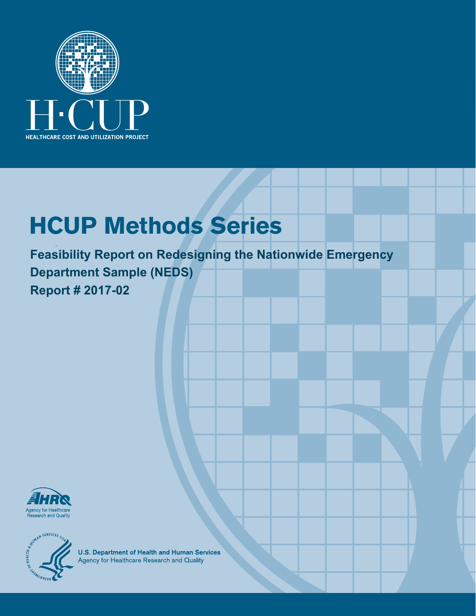

# **HCUP Methods Series**

**Feasibility Report on Redesigning the Nationwide Emergency Department Sample (NEDS) Report # 2017-02** 





**U.S. Department of Health and Human Services**<br>Agency for Healthcare Research and Quality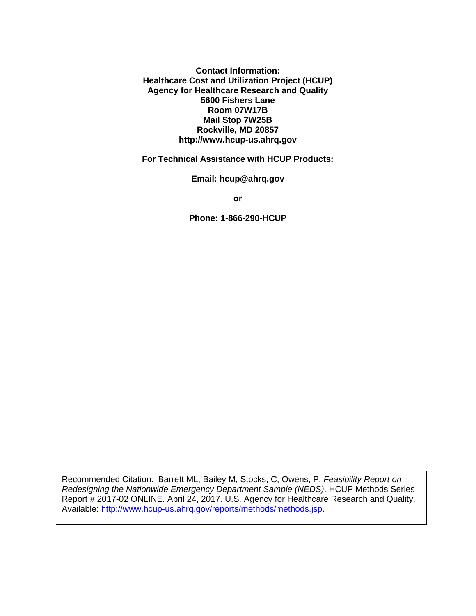**Contact Information: Healthcare Cost and Utilization Project (HCUP) Agency for Healthcare Research and Quality 5600 Fishers Lane Room 07W17B Mail Stop 7W25B Rockville, MD 20857 http://www.hcup-us.ahrq.gov**

**For Technical Assistance with HCUP Products:**

**Email: hcup@ahrq.gov**

**or**

**Phone: 1-866-290-HCUP**

Recommended Citation: Barrett ML, Bailey M, Stocks, C, Owens, P. *Feasibility Report on Redesigning the Nationwide Emergency Department Sample (NEDS)*. HCUP Methods Series Report # 2017-02 ONLINE. April 24, 2017. U.S. Agency for Healthcare Research and Quality. Available: http://www.hcup-us.ahrq.gov/reports/methods/methods.jsp.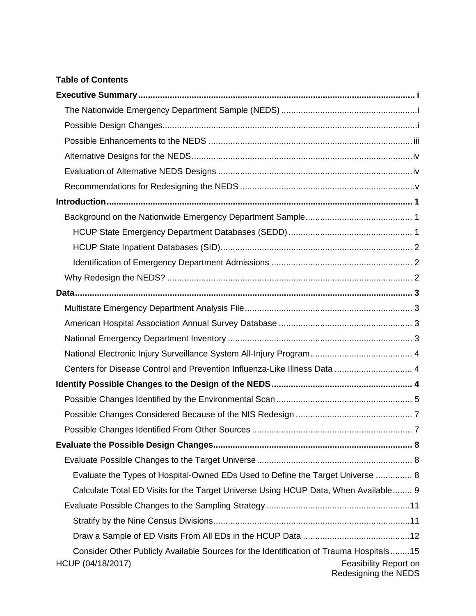#### **Table of Contents**

| Centers for Disease Control and Prevention Influenza-Like Illness Data  4                                                                                    |
|--------------------------------------------------------------------------------------------------------------------------------------------------------------|
|                                                                                                                                                              |
|                                                                                                                                                              |
|                                                                                                                                                              |
|                                                                                                                                                              |
|                                                                                                                                                              |
|                                                                                                                                                              |
| Evaluate the Types of Hospital-Owned EDs Used to Define the Target Universe  8                                                                               |
| Calculate Total ED Visits for the Target Universe Using HCUP Data, When Available 9                                                                          |
|                                                                                                                                                              |
|                                                                                                                                                              |
|                                                                                                                                                              |
| Consider Other Publicly Available Sources for the Identification of Trauma Hospitals15<br>HCUP (04/18/2017)<br>Feasibility Report on<br>Redesigning the NEDS |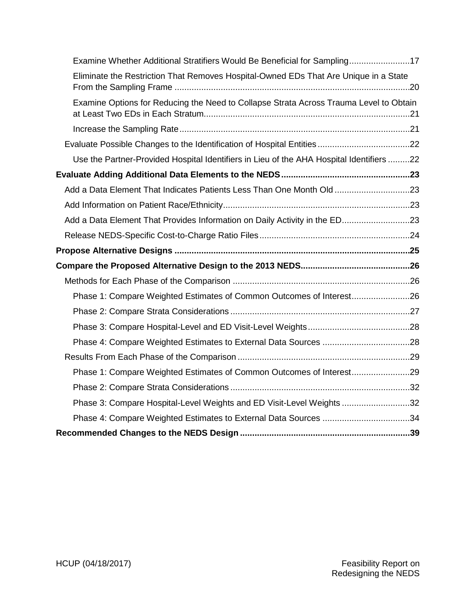| Examine Whether Additional Stratifiers Would Be Beneficial for Sampling17                |  |
|------------------------------------------------------------------------------------------|--|
| Eliminate the Restriction That Removes Hospital-Owned EDs That Are Unique in a State     |  |
| Examine Options for Reducing the Need to Collapse Strata Across Trauma Level to Obtain   |  |
|                                                                                          |  |
|                                                                                          |  |
| Use the Partner-Provided Hospital Identifiers in Lieu of the AHA Hospital Identifiers 22 |  |
|                                                                                          |  |
| Add a Data Element That Indicates Patients Less Than One Month Old 23                    |  |
|                                                                                          |  |
| Add a Data Element That Provides Information on Daily Activity in the ED23               |  |
|                                                                                          |  |
|                                                                                          |  |
|                                                                                          |  |
|                                                                                          |  |
| Phase 1: Compare Weighted Estimates of Common Outcomes of Interest26                     |  |
|                                                                                          |  |
|                                                                                          |  |
|                                                                                          |  |
|                                                                                          |  |
| Phase 1: Compare Weighted Estimates of Common Outcomes of Interest29                     |  |
|                                                                                          |  |
| Phase 3: Compare Hospital-Level Weights and ED Visit-Level Weights 32                    |  |
| Phase 4: Compare Weighted Estimates to External Data Sources 34                          |  |
|                                                                                          |  |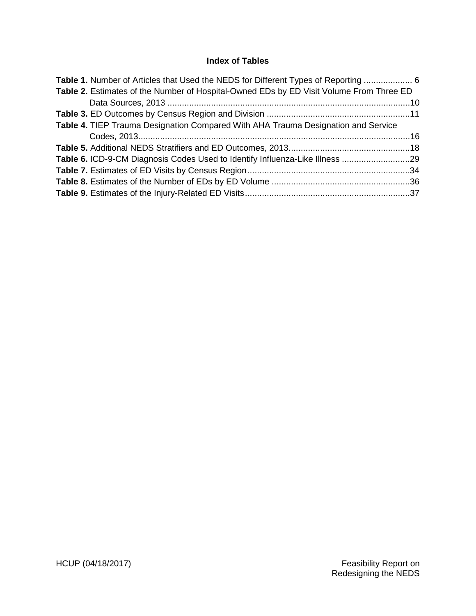## **Index of Tables**

| <b>Table 1.</b> Number of Articles that Used the NEDS for Different Types of Reporting  6 |  |
|-------------------------------------------------------------------------------------------|--|
| Table 2. Estimates of the Number of Hospital-Owned EDs by ED Visit Volume From Three ED   |  |
|                                                                                           |  |
|                                                                                           |  |
| <b>Table 4. TIEP Trauma Designation Compared With AHA Trauma Designation and Service</b>  |  |
|                                                                                           |  |
|                                                                                           |  |
| Table 6. ICD-9-CM Diagnosis Codes Used to Identify Influenza-Like Illness 29              |  |
|                                                                                           |  |
|                                                                                           |  |
|                                                                                           |  |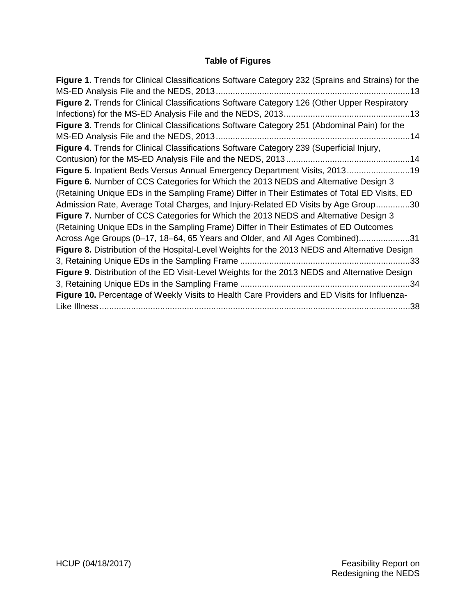# **Table of Figures**

| Figure 1. Trends for Clinical Classifications Software Category 232 (Sprains and Strains) for the |
|---------------------------------------------------------------------------------------------------|
| .13                                                                                               |
| Figure 2. Trends for Clinical Classifications Software Category 126 (Other Upper Respiratory      |
|                                                                                                   |
| Figure 3. Trends for Clinical Classifications Software Category 251 (Abdominal Pain) for the      |
|                                                                                                   |
| Figure 4. Trends for Clinical Classifications Software Category 239 (Superficial Injury,          |
|                                                                                                   |
| Figure 5. Inpatient Beds Versus Annual Emergency Department Visits, 201319                        |
| Figure 6. Number of CCS Categories for Which the 2013 NEDS and Alternative Design 3               |
| (Retaining Unique EDs in the Sampling Frame) Differ in Their Estimates of Total ED Visits, ED     |
| Admission Rate, Average Total Charges, and Injury-Related ED Visits by Age Group30                |
| Figure 7. Number of CCS Categories for Which the 2013 NEDS and Alternative Design 3               |
| (Retaining Unique EDs in the Sampling Frame) Differ in Their Estimates of ED Outcomes             |
| Across Age Groups (0-17, 18-64, 65 Years and Older, and All Ages Combined)31                      |
| Figure 8. Distribution of the Hospital-Level Weights for the 2013 NEDS and Alternative Design     |
| .33                                                                                               |
| Figure 9. Distribution of the ED Visit-Level Weights for the 2013 NEDS and Alternative Design     |
|                                                                                                   |
| Figure 10. Percentage of Weekly Visits to Health Care Providers and ED Visits for Influenza-      |
| 38                                                                                                |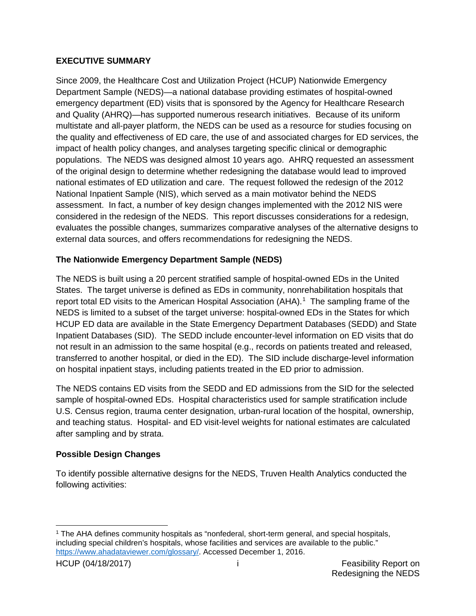## <span id="page-6-0"></span>**EXECUTIVE SUMMARY**

Since 2009, the Healthcare Cost and Utilization Project (HCUP) Nationwide Emergency Department Sample (NEDS)—a national database providing estimates of hospital-owned emergency department (ED) visits that is sponsored by the Agency for Healthcare Research and Quality (AHRQ)—has supported numerous research initiatives. Because of its uniform multistate and all-payer platform, the NEDS can be used as a resource for studies focusing on the quality and effectiveness of ED care, the use of and associated charges for ED services, the impact of health policy changes, and analyses targeting specific clinical or demographic populations. The NEDS was designed almost 10 years ago. AHRQ requested an assessment of the original design to determine whether redesigning the database would lead to improved national estimates of ED utilization and care. The request followed the redesign of the 2012 National Inpatient Sample (NIS), which served as a main motivator behind the NEDS assessment. In fact, a number of key design changes implemented with the 2012 NIS were considered in the redesign of the NEDS. This report discusses considerations for a redesign, evaluates the possible changes, summarizes comparative analyses of the alternative designs to external data sources, and offers recommendations for redesigning the NEDS.

# <span id="page-6-1"></span>**The Nationwide Emergency Department Sample (NEDS)**

The NEDS is built using a 20 percent stratified sample of hospital-owned EDs in the United States. The target universe is defined as EDs in community, nonrehabilitation hospitals that report total ED visits to the American Hospital Association (AHA).<sup>[1](#page-6-3)</sup> The sampling frame of the NEDS is limited to a subset of the target universe: hospital-owned EDs in the States for which HCUP ED data are available in the State Emergency Department Databases (SEDD) and State Inpatient Databases (SID). The SEDD include encounter-level information on ED visits that do not result in an admission to the same hospital (e.g., records on patients treated and released, transferred to another hospital, or died in the ED). The SID include discharge-level information on hospital inpatient stays, including patients treated in the ED prior to admission.

The NEDS contains ED visits from the SEDD and ED admissions from the SID for the selected sample of hospital-owned EDs. Hospital characteristics used for sample stratification include U.S. Census region, trauma center designation, urban-rural location of the hospital, ownership, and teaching status. Hospital- and ED visit-level weights for national estimates are calculated after sampling and by strata.

# <span id="page-6-2"></span>**Possible Design Changes**

To identify possible alternative designs for the NEDS, Truven Health Analytics conducted the following activities:

<span id="page-6-3"></span> <sup>1</sup> The AHA defines community hospitals as "nonfederal, short-term general, and special hospitals, including special children's hospitals, whose facilities and services are available to the public." [https://www.ahadataviewer.com/glossary/.](https://www.ahadataviewer.com/glossary/) Accessed December 1, 2016.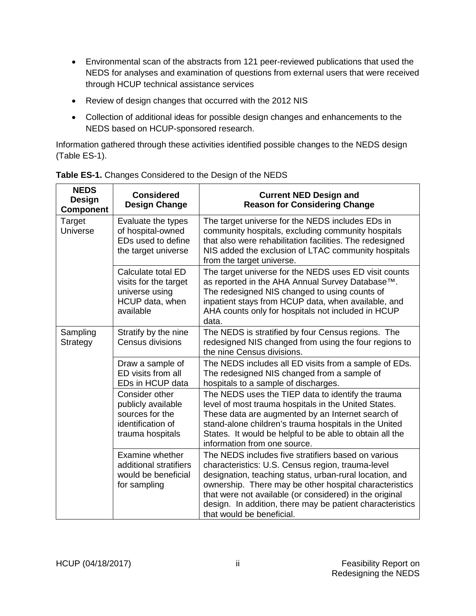- Environmental scan of the abstracts from 121 peer-reviewed publications that used the NEDS for analyses and examination of questions from external users that were received through HCUP technical assistance services
- Review of design changes that occurred with the 2012 NIS
- Collection of additional ideas for possible design changes and enhancements to the NEDS based on HCUP-sponsored research.

Information gathered through these activities identified possible changes to the NEDS design (Table ES-1).

| <b>NEDS</b><br><b>Design</b><br><b>Component</b> | <b>Considered</b><br><b>Design Change</b>                                                        | <b>Current NED Design and</b><br><b>Reason for Considering Change</b>                                                                                                                                                                                                                                                                                                              |  |  |  |  |
|--------------------------------------------------|--------------------------------------------------------------------------------------------------|------------------------------------------------------------------------------------------------------------------------------------------------------------------------------------------------------------------------------------------------------------------------------------------------------------------------------------------------------------------------------------|--|--|--|--|
| Target<br>Universe                               | Evaluate the types<br>of hospital-owned<br>EDs used to define<br>the target universe             | The target universe for the NEDS includes EDs in<br>community hospitals, excluding community hospitals<br>that also were rehabilitation facilities. The redesigned<br>NIS added the exclusion of LTAC community hospitals<br>from the target universe.                                                                                                                             |  |  |  |  |
|                                                  | Calculate total ED<br>visits for the target<br>universe using<br>HCUP data, when<br>available    | The target universe for the NEDS uses ED visit counts<br>as reported in the AHA Annual Survey Database™.<br>The redesigned NIS changed to using counts of<br>inpatient stays from HCUP data, when available, and<br>AHA counts only for hospitals not included in HCUP<br>data.                                                                                                    |  |  |  |  |
| Sampling<br>Strategy                             | Stratify by the nine<br>Census divisions                                                         | The NEDS is stratified by four Census regions. The<br>redesigned NIS changed from using the four regions to<br>the nine Census divisions.                                                                                                                                                                                                                                          |  |  |  |  |
|                                                  | Draw a sample of<br>ED visits from all<br>EDs in HCUP data                                       | The NEDS includes all ED visits from a sample of EDs.<br>The redesigned NIS changed from a sample of<br>hospitals to a sample of discharges.                                                                                                                                                                                                                                       |  |  |  |  |
|                                                  | Consider other<br>publicly available<br>sources for the<br>identification of<br>trauma hospitals | The NEDS uses the TIEP data to identify the trauma<br>level of most trauma hospitals in the United States.<br>These data are augmented by an Internet search of<br>stand-alone children's trauma hospitals in the United<br>States. It would be helpful to be able to obtain all the<br>information from one source.                                                               |  |  |  |  |
|                                                  | Examine whether<br>additional stratifiers<br>would be beneficial<br>for sampling                 | The NEDS includes five stratifiers based on various<br>characteristics: U.S. Census region, trauma-level<br>designation, teaching status, urban-rural location, and<br>ownership. There may be other hospital characteristics<br>that were not available (or considered) in the original<br>design. In addition, there may be patient characteristics<br>that would be beneficial. |  |  |  |  |

**Table ES-1.** Changes Considered to the Design of the NEDS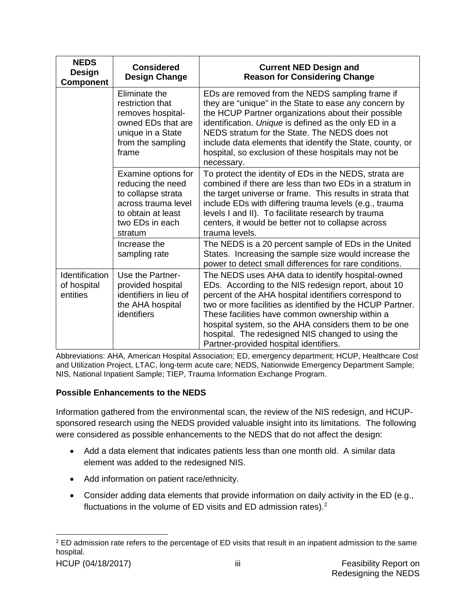| <b>NEDS</b><br>Design<br><b>Component</b> | <b>Considered</b><br><b>Design Change</b>                                                                                                 | <b>Current NED Design and</b><br><b>Reason for Considering Change</b>                                                                                                                                                                                                                                                                                                                                                                    |
|-------------------------------------------|-------------------------------------------------------------------------------------------------------------------------------------------|------------------------------------------------------------------------------------------------------------------------------------------------------------------------------------------------------------------------------------------------------------------------------------------------------------------------------------------------------------------------------------------------------------------------------------------|
|                                           | Eliminate the<br>restriction that<br>removes hospital-<br>owned EDs that are<br>unique in a State<br>from the sampling<br>frame           | EDs are removed from the NEDS sampling frame if<br>they are "unique" in the State to ease any concern by<br>the HCUP Partner organizations about their possible<br>identification. Unique is defined as the only ED in a<br>NEDS stratum for the State. The NEDS does not<br>include data elements that identify the State, county, or<br>hospital, so exclusion of these hospitals may not be<br>necessary.                             |
|                                           | Examine options for<br>reducing the need<br>to collapse strata<br>across trauma level<br>to obtain at least<br>two EDs in each<br>stratum | To protect the identity of EDs in the NEDS, strata are<br>combined if there are less than two EDs in a stratum in<br>the target universe or frame. This results in strata that<br>include EDs with differing trauma levels (e.g., trauma<br>levels I and II). To facilitate research by trauma<br>centers, it would be better not to collapse across<br>trauma levels.                                                                   |
|                                           | Increase the<br>sampling rate                                                                                                             | The NEDS is a 20 percent sample of EDs in the United<br>States. Increasing the sample size would increase the<br>power to detect small differences for rare conditions.                                                                                                                                                                                                                                                                  |
| Identification<br>of hospital<br>entities | Use the Partner-<br>provided hospital<br>identifiers in lieu of<br>the AHA hospital<br>identifiers                                        | The NEDS uses AHA data to identify hospital-owned<br>EDs. According to the NIS redesign report, about 10<br>percent of the AHA hospital identifiers correspond to<br>two or more facilities as identified by the HCUP Partner.<br>These facilities have common ownership within a<br>hospital system, so the AHA considers them to be one<br>hospital. The redesigned NIS changed to using the<br>Partner-provided hospital identifiers. |

Abbreviations: AHA, American Hospital Association; ED, emergency department; HCUP, Healthcare Cost and Utilization Project, LTAC, long-term acute care; NEDS, Nationwide Emergency Department Sample; NIS, National Inpatient Sample; TIEP, Trauma Information Exchange Program.

#### <span id="page-8-0"></span>**Possible Enhancements to the NEDS**

Information gathered from the environmental scan, the review of the NIS redesign, and HCUPsponsored research using the NEDS provided valuable insight into its limitations. The following were considered as possible enhancements to the NEDS that do not affect the design:

- Add a data element that indicates patients less than one month old. A similar data element was added to the redesigned NIS.
- Add information on patient race/ethnicity.
- Consider adding data elements that provide information on daily activity in the ED (e.g., fluctuations in the volume of ED visits and ED admission rates).<sup>[2](#page-8-1)</sup>

<span id="page-8-1"></span><sup>&</sup>lt;sup>2</sup> ED admission rate refers to the percentage of ED visits that result in an inpatient admission to the same hospital.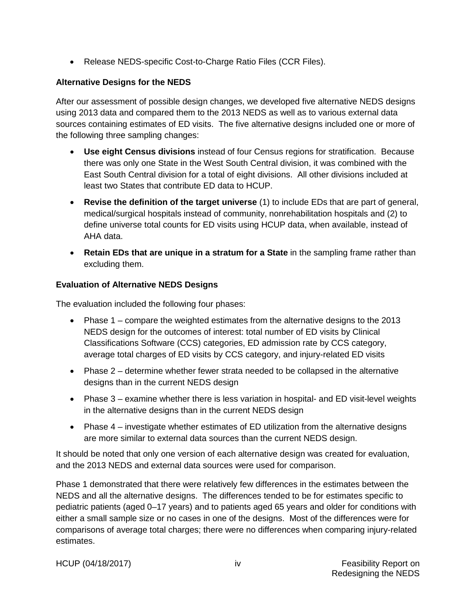• Release NEDS-specific Cost-to-Charge Ratio Files (CCR Files).

## <span id="page-9-0"></span>**Alternative Designs for the NEDS**

After our assessment of possible design changes, we developed five alternative NEDS designs using 2013 data and compared them to the 2013 NEDS as well as to various external data sources containing estimates of ED visits. The five alternative designs included one or more of the following three sampling changes:

- **Use eight Census divisions** instead of four Census regions for stratification. Because there was only one State in the West South Central division, it was combined with the East South Central division for a total of eight divisions. All other divisions included at least two States that contribute ED data to HCUP.
- **Revise the definition of the target universe** (1) to include EDs that are part of general, medical/surgical hospitals instead of community, nonrehabilitation hospitals and (2) to define universe total counts for ED visits using HCUP data, when available, instead of AHA data.
- **Retain EDs that are unique in a stratum for a State** in the sampling frame rather than excluding them.

## <span id="page-9-1"></span>**Evaluation of Alternative NEDS Designs**

The evaluation included the following four phases:

- Phase 1 compare the weighted estimates from the alternative designs to the 2013 NEDS design for the outcomes of interest: total number of ED visits by Clinical Classifications Software (CCS) categories, ED admission rate by CCS category, average total charges of ED visits by CCS category, and injury-related ED visits
- Phase 2 determine whether fewer strata needed to be collapsed in the alternative designs than in the current NEDS design
- Phase 3 examine whether there is less variation in hospital- and ED visit-level weights in the alternative designs than in the current NEDS design
- Phase 4 investigate whether estimates of ED utilization from the alternative designs are more similar to external data sources than the current NEDS design.

It should be noted that only one version of each alternative design was created for evaluation, and the 2013 NEDS and external data sources were used for comparison.

Phase 1 demonstrated that there were relatively few differences in the estimates between the NEDS and all the alternative designs. The differences tended to be for estimates specific to pediatric patients (aged 0–17 years) and to patients aged 65 years and older for conditions with either a small sample size or no cases in one of the designs. Most of the differences were for comparisons of average total charges; there were no differences when comparing injury-related estimates.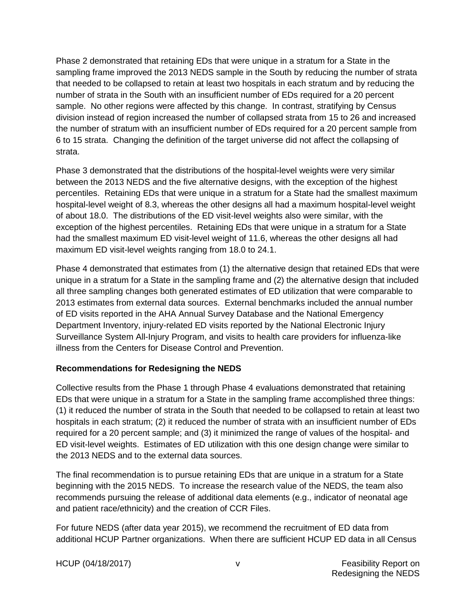Phase 2 demonstrated that retaining EDs that were unique in a stratum for a State in the sampling frame improved the 2013 NEDS sample in the South by reducing the number of strata that needed to be collapsed to retain at least two hospitals in each stratum and by reducing the number of strata in the South with an insufficient number of EDs required for a 20 percent sample. No other regions were affected by this change. In contrast, stratifying by Census division instead of region increased the number of collapsed strata from 15 to 26 and increased the number of stratum with an insufficient number of EDs required for a 20 percent sample from 6 to 15 strata. Changing the definition of the target universe did not affect the collapsing of strata.

Phase 3 demonstrated that the distributions of the hospital-level weights were very similar between the 2013 NEDS and the five alternative designs, with the exception of the highest percentiles. Retaining EDs that were unique in a stratum for a State had the smallest maximum hospital-level weight of 8.3, whereas the other designs all had a maximum hospital-level weight of about 18.0. The distributions of the ED visit-level weights also were similar, with the exception of the highest percentiles. Retaining EDs that were unique in a stratum for a State had the smallest maximum ED visit-level weight of 11.6, whereas the other designs all had maximum ED visit-level weights ranging from 18.0 to 24.1.

Phase 4 demonstrated that estimates from (1) the alternative design that retained EDs that were unique in a stratum for a State in the sampling frame and (2) the alternative design that included all three sampling changes both generated estimates of ED utilization that were comparable to 2013 estimates from external data sources. External benchmarks included the annual number of ED visits reported in the AHA Annual Survey Database and the National Emergency Department Inventory, injury-related ED visits reported by the National Electronic Injury Surveillance System All-Injury Program, and visits to health care providers for influenza-like illness from the Centers for Disease Control and Prevention.

#### <span id="page-10-0"></span>**Recommendations for Redesigning the NEDS**

Collective results from the Phase 1 through Phase 4 evaluations demonstrated that retaining EDs that were unique in a stratum for a State in the sampling frame accomplished three things: (1) it reduced the number of strata in the South that needed to be collapsed to retain at least two hospitals in each stratum; (2) it reduced the number of strata with an insufficient number of EDs required for a 20 percent sample; and (3) it minimized the range of values of the hospital- and ED visit-level weights. Estimates of ED utilization with this one design change were similar to the 2013 NEDS and to the external data sources.

The final recommendation is to pursue retaining EDs that are unique in a stratum for a State beginning with the 2015 NEDS. To increase the research value of the NEDS, the team also recommends pursuing the release of additional data elements (e.g., indicator of neonatal age and patient race/ethnicity) and the creation of CCR Files.

For future NEDS (after data year 2015), we recommend the recruitment of ED data from additional HCUP Partner organizations. When there are sufficient HCUP ED data in all Census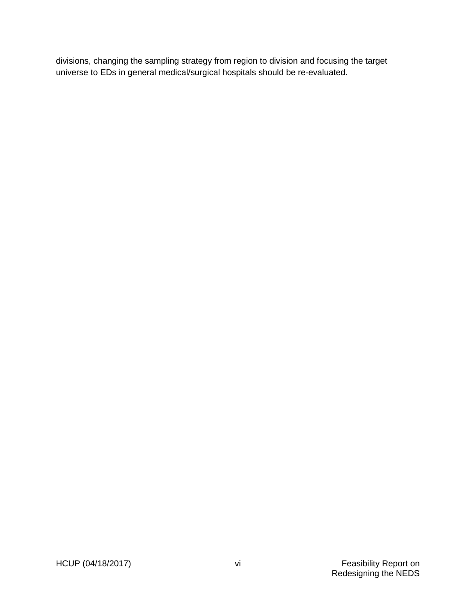divisions, changing the sampling strategy from region to division and focusing the target universe to EDs in general medical/surgical hospitals should be re-evaluated.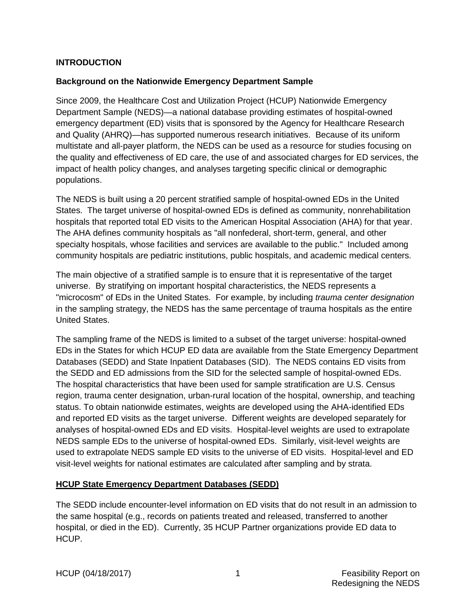#### <span id="page-12-0"></span>**INTRODUCTION**

#### <span id="page-12-1"></span>**Background on the Nationwide Emergency Department Sample**

Since 2009, the Healthcare Cost and Utilization Project (HCUP) Nationwide Emergency Department Sample (NEDS)—a national database providing estimates of hospital-owned emergency department (ED) visits that is sponsored by the Agency for Healthcare Research and Quality (AHRQ)—has supported numerous research initiatives. Because of its uniform multistate and all-payer platform, the NEDS can be used as a resource for studies focusing on the quality and effectiveness of ED care, the use of and associated charges for ED services, the impact of health policy changes, and analyses targeting specific clinical or demographic populations.

The NEDS is built using a 20 percent stratified sample of hospital-owned EDs in the United States. The target universe of hospital-owned EDs is defined as community, nonrehabilitation hospitals that reported total ED visits to the American Hospital Association (AHA) for that year. The AHA defines community hospitals as "all nonfederal, short-term, general, and other specialty hospitals, whose facilities and services are available to the public." Included among community hospitals are pediatric institutions, public hospitals, and academic medical centers.

The main objective of a stratified sample is to ensure that it is representative of the target universe. By stratifying on important hospital characteristics, the NEDS represents a "microcosm" of EDs in the United States. For example, by including *trauma center designation* in the sampling strategy, the NEDS has the same percentage of trauma hospitals as the entire United States.

The sampling frame of the NEDS is limited to a subset of the target universe: hospital-owned EDs in the States for which HCUP ED data are available from the State Emergency Department Databases (SEDD) and State Inpatient Databases (SID). The NEDS contains ED visits from the SEDD and ED admissions from the SID for the selected sample of hospital-owned EDs. The hospital characteristics that have been used for sample stratification are U.S. Census region, trauma center designation, urban-rural location of the hospital, ownership, and teaching status. To obtain nationwide estimates, weights are developed using the AHA-identified EDs and reported ED visits as the target universe. Different weights are developed separately for analyses of hospital-owned EDs and ED visits. Hospital-level weights are used to extrapolate NEDS sample EDs to the universe of hospital-owned EDs. Similarly, visit-level weights are used to extrapolate NEDS sample ED visits to the universe of ED visits. Hospital-level and ED visit-level weights for national estimates are calculated after sampling and by strata.

#### <span id="page-12-2"></span>**HCUP State Emergency Department Databases (SEDD)**

The SEDD include encounter-level information on ED visits that do not result in an admission to the same hospital (e.g., records on patients treated and released, transferred to another hospital, or died in the ED). Currently, 35 HCUP Partner organizations provide ED data to HCUP.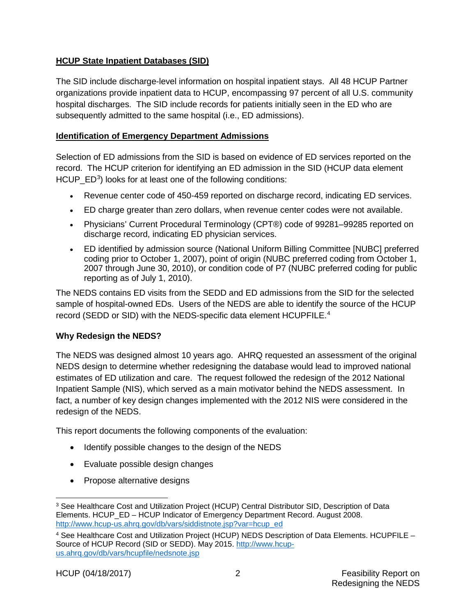## <span id="page-13-0"></span>**HCUP State Inpatient Databases (SID)**

The SID include discharge-level information on hospital inpatient stays. All 48 HCUP Partner organizations provide inpatient data to HCUP, encompassing 97 percent of all U.S. community hospital discharges. The SID include records for patients initially seen in the ED who are subsequently admitted to the same hospital (i.e., ED admissions).

#### <span id="page-13-1"></span>**Identification of Emergency Department Admissions**

Selection of ED admissions from the SID is based on evidence of ED services reported on the record. The HCUP criterion for identifying an ED admission in the SID (HCUP data element HCUP\_ED<sup>[3](#page-13-3)</sup>) looks for at least one of the following conditions:

- Revenue center code of 450-459 reported on discharge record, indicating ED services.
- ED charge greater than zero dollars, when revenue center codes were not available.
- Physicians' Current Procedural Terminology (CPT®) code of 99281–99285 reported on discharge record, indicating ED physician services.
- ED identified by admission source (National Uniform Billing Committee [NUBC] preferred coding prior to October 1, 2007), point of origin (NUBC preferred coding from October 1, 2007 through June 30, 2010), or condition code of P7 (NUBC preferred coding for public reporting as of July 1, 2010).

The NEDS contains ED visits from the SEDD and ED admissions from the SID for the selected sample of hospital-owned EDs. Users of the NEDS are able to identify the source of the HCUP record (SEDD or SID) with the NEDS-specific data element HCUPFILE. [4](#page-13-4)

# <span id="page-13-2"></span>**Why Redesign the NEDS?**

The NEDS was designed almost 10 years ago. AHRQ requested an assessment of the original NEDS design to determine whether redesigning the database would lead to improved national estimates of ED utilization and care. The request followed the redesign of the 2012 National Inpatient Sample (NIS), which served as a main motivator behind the NEDS assessment. In fact, a number of key design changes implemented with the 2012 NIS were considered in the redesign of the NEDS.

This report documents the following components of the evaluation:

- Identify possible changes to the design of the NEDS
- Evaluate possible design changes
- Propose alternative designs

<span id="page-13-3"></span> <sup>3</sup> See Healthcare Cost and Utilization Project (HCUP) Central Distributor SID, Description of Data Elements. HCUP\_ED – HCUP Indicator of Emergency Department Record. August 2008. [http://www.hcup-us.ahrq.gov/db/vars/siddistnote.jsp?var=hcup\\_ed](http://www.hcup-us.ahrq.gov/db/vars/siddistnote.jsp?var=hcup_ed)

<span id="page-13-4"></span><sup>4</sup> See Healthcare Cost and Utilization Project (HCUP) NEDS Description of Data Elements. HCUPFILE – Source of HCUP Record (SID or SEDD). May 2015. [http://www.hcup](http://www.hcup-us.ahrq.gov/db/vars/hcupfile/nedsnote.jsp)[us.ahrq.gov/db/vars/hcupfile/nedsnote.jsp](http://www.hcup-us.ahrq.gov/db/vars/hcupfile/nedsnote.jsp)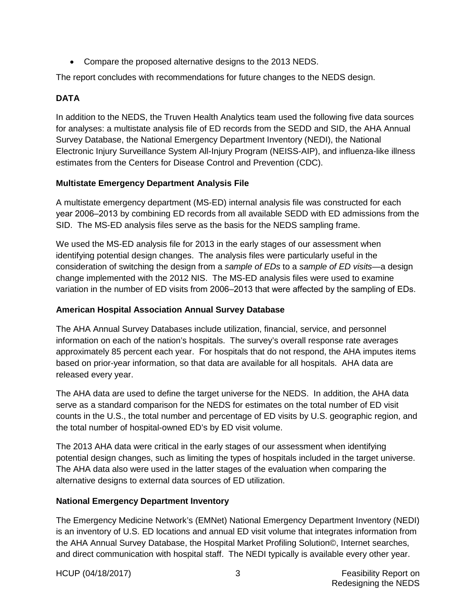• Compare the proposed alternative designs to the 2013 NEDS.

The report concludes with recommendations for future changes to the NEDS design.

## <span id="page-14-0"></span>**DATA**

In addition to the NEDS, the Truven Health Analytics team used the following five data sources for analyses: a multistate analysis file of ED records from the SEDD and SID, the AHA Annual Survey Database, the National Emergency Department Inventory (NEDI), the National Electronic Injury Surveillance System All-Injury Program (NEISS-AIP), and influenza-like illness estimates from the Centers for Disease Control and Prevention (CDC).

## <span id="page-14-1"></span>**Multistate Emergency Department Analysis File**

A multistate emergency department (MS-ED) internal analysis file was constructed for each year 2006–2013 by combining ED records from all available SEDD with ED admissions from the SID. The MS-ED analysis files serve as the basis for the NEDS sampling frame.

We used the MS-ED analysis file for 2013 in the early stages of our assessment when identifying potential design changes. The analysis files were particularly useful in the consideration of switching the design from a *sample of EDs* to a *sample of ED visits*—a design change implemented with the 2012 NIS. The MS-ED analysis files were used to examine variation in the number of ED visits from 2006–2013 that were affected by the sampling of EDs.

#### <span id="page-14-2"></span>**American Hospital Association Annual Survey Database**

The AHA Annual Survey Databases include utilization, financial, service, and personnel information on each of the nation's hospitals. The survey's overall response rate averages approximately 85 percent each year. For hospitals that do not respond, the AHA imputes items based on prior-year information, so that data are available for all hospitals. AHA data are released every year.

The AHA data are used to define the target universe for the NEDS. In addition, the AHA data serve as a standard comparison for the NEDS for estimates on the total number of ED visit counts in the U.S., the total number and percentage of ED visits by U.S. geographic region, and the total number of hospital-owned ED's by ED visit volume.

The 2013 AHA data were critical in the early stages of our assessment when identifying potential design changes, such as limiting the types of hospitals included in the target universe. The AHA data also were used in the latter stages of the evaluation when comparing the alternative designs to external data sources of ED utilization.

# <span id="page-14-3"></span>**National Emergency Department Inventory**

The Emergency Medicine Network's (EMNet) National Emergency Department Inventory (NEDI) is an inventory of U.S. ED locations and annual ED visit volume that integrates information from the AHA Annual Survey Database, the Hospital Market Profiling Solution©, Internet searches, and direct communication with hospital staff. The NEDI typically is available every other year.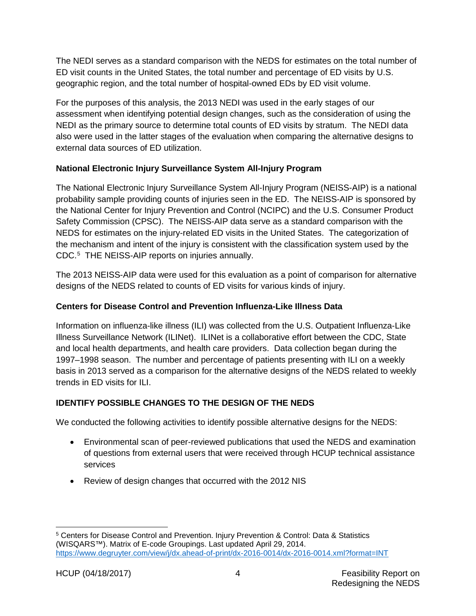The NEDI serves as a standard comparison with the NEDS for estimates on the total number of ED visit counts in the United States, the total number and percentage of ED visits by U.S. geographic region, and the total number of hospital-owned EDs by ED visit volume.

For the purposes of this analysis, the 2013 NEDI was used in the early stages of our assessment when identifying potential design changes, such as the consideration of using the NEDI as the primary source to determine total counts of ED visits by stratum. The NEDI data also were used in the latter stages of the evaluation when comparing the alternative designs to external data sources of ED utilization.

# <span id="page-15-0"></span>**National Electronic Injury Surveillance System All-Injury Program**

The National Electronic Injury Surveillance System All-Injury Program (NEISS-AIP) is a national probability sample providing counts of injuries seen in the ED. The NEISS-AIP is sponsored by the National Center for Injury Prevention and Control (NCIPC) and the U.S. Consumer Product Safety Commission (CPSC). The NEISS-AIP data serve as a standard comparison with the NEDS for estimates on the injury-related ED visits in the United States. The categorization of the mechanism and intent of the injury is consistent with the classification system used by the CDC.[5](#page-15-3) THE NEISS-AIP reports on injuries annually.

The 2013 NEISS-AIP data were used for this evaluation as a point of comparison for alternative designs of the NEDS related to counts of ED visits for various kinds of injury.

# <span id="page-15-1"></span>**Centers for Disease Control and Prevention Influenza-Like Illness Data**

Information on influenza-like illness (ILI) was collected from the U.S. Outpatient Influenza-Like Illness Surveillance Network (ILINet). ILINet is a collaborative effort between the CDC, State and local health departments, and health care providers. Data collection began during the 1997–1998 season. The number and percentage of patients presenting with ILI on a weekly basis in 2013 served as a comparison for the alternative designs of the NEDS related to weekly trends in ED visits for ILI.

# <span id="page-15-2"></span>**IDENTIFY POSSIBLE CHANGES TO THE DESIGN OF THE NEDS**

We conducted the following activities to identify possible alternative designs for the NEDS:

- Environmental scan of peer-reviewed publications that used the NEDS and examination of questions from external users that were received through HCUP technical assistance services
- Review of design changes that occurred with the 2012 NIS

<span id="page-15-3"></span> <sup>5</sup> Centers for Disease Control and Prevention. Injury Prevention & Control: Data & Statistics (WISQARS™). Matrix of E-code Groupings. Last updated April 29, 2014. <https://www.degruyter.com/view/j/dx.ahead-of-print/dx-2016-0014/dx-2016-0014.xml?format=INT>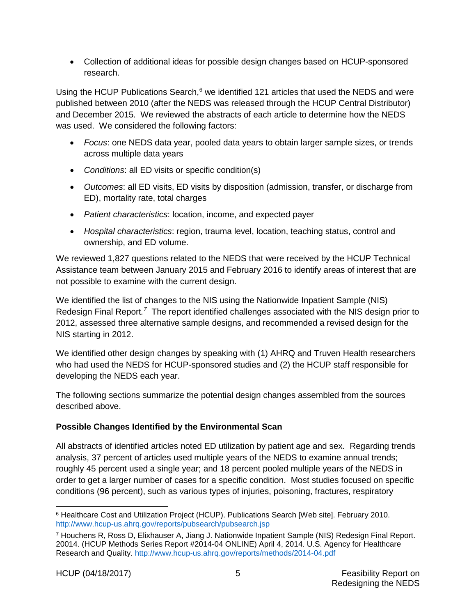• Collection of additional ideas for possible design changes based on HCUP-sponsored research.

Using the HCUP Publications Search,<sup>[6](#page-16-1)</sup> we identified 121 articles that used the NEDS and were published between 2010 (after the NEDS was released through the HCUP Central Distributor) and December 2015. We reviewed the abstracts of each article to determine how the NEDS was used. We considered the following factors:

- *Focus*: one NEDS data year, pooled data years to obtain larger sample sizes, or trends across multiple data years
- *Conditions*: all ED visits or specific condition(s)
- *Outcomes*: all ED visits, ED visits by disposition (admission, transfer, or discharge from ED), mortality rate, total charges
- *Patient characteristics*: location, income, and expected payer
- *Hospital characteristics*: region, trauma level, location, teaching status, control and ownership, and ED volume.

We reviewed 1,827 questions related to the NEDS that were received by the HCUP Technical Assistance team between January 2015 and February 2016 to identify areas of interest that are not possible to examine with the current design.

We identified the list of changes to the NIS using the Nationwide Inpatient Sample (NIS) Redesign Final Report.<sup>[7](#page-16-2)</sup> The report identified challenges associated with the NIS design prior to 2012, assessed three alternative sample designs, and recommended a revised design for the NIS starting in 2012.

We identified other design changes by speaking with (1) AHRQ and Truven Health researchers who had used the NEDS for HCUP-sponsored studies and (2) the HCUP staff responsible for developing the NEDS each year.

The following sections summarize the potential design changes assembled from the sources described above.

# <span id="page-16-0"></span>**Possible Changes Identified by the Environmental Scan**

All abstracts of identified articles noted ED utilization by patient age and sex. Regarding trends analysis, 37 percent of articles used multiple years of the NEDS to examine annual trends; roughly 45 percent used a single year; and 18 percent pooled multiple years of the NEDS in order to get a larger number of cases for a specific condition. Most studies focused on specific conditions (96 percent), such as various types of injuries, poisoning, fractures, respiratory

<span id="page-16-1"></span> <sup>6</sup> Healthcare Cost and Utilization Project (HCUP). Publications Search [Web site]. February 2010. <http://www.hcup-us.ahrq.gov/reports/pubsearch/pubsearch.jsp>

<span id="page-16-2"></span><sup>7</sup> Houchens R, Ross D, Elixhauser A, Jiang J. Nationwide Inpatient Sample (NIS) Redesign Final Report. 20014. (HCUP Methods Series Report #2014-04 ONLINE) April 4, 2014. U.S. Agency for Healthcare Research and Quality.<http://www.hcup-us.ahrq.gov/reports/methods/2014-04.pdf>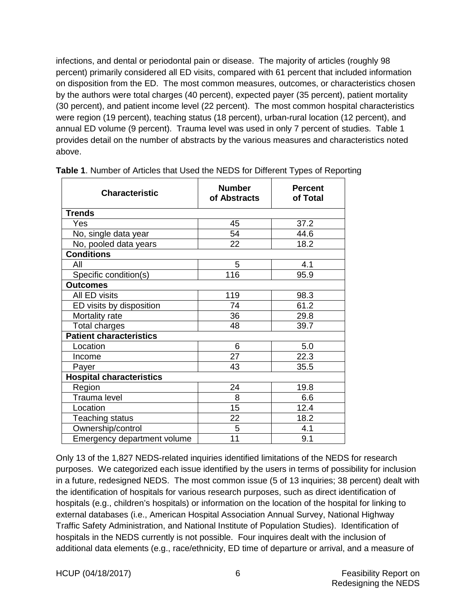infections, and dental or periodontal pain or disease. The majority of articles (roughly 98 percent) primarily considered all ED visits, compared with 61 percent that included information on disposition from the ED. The most common measures, outcomes, or characteristics chosen by the authors were total charges (40 percent), expected payer (35 percent), patient mortality (30 percent), and patient income level (22 percent). The most common hospital characteristics were region (19 percent), teaching status (18 percent), urban-rural location (12 percent), and annual ED volume (9 percent). Trauma level was used in only 7 percent of studies. Table 1 provides detail on the number of abstracts by the various measures and characteristics noted above.

| <b>Characteristic</b>           | <b>Number</b><br>of Abstracts | <b>Percent</b><br>of Total |
|---------------------------------|-------------------------------|----------------------------|
| <b>Trends</b>                   |                               |                            |
| Yes                             | 45                            | 37.2                       |
| No, single data year            | 54                            | 44.6                       |
| No, pooled data years           | 22                            | 18.2                       |
| <b>Conditions</b>               |                               |                            |
| All                             | 5                             | 4.1                        |
| Specific condition(s)           | 116                           | 95.9                       |
| <b>Outcomes</b>                 |                               |                            |
| All ED visits                   | 119                           | 98.3                       |
| ED visits by disposition        | 74                            | 61.2                       |
| Mortality rate                  | 36                            | 29.8                       |
| Total charges                   | 48                            | 39.7                       |
| <b>Patient characteristics</b>  |                               |                            |
| Location                        | 6                             | 5.0                        |
| Income                          | 27                            | 22.3                       |
| Payer                           | 43                            | 35.5                       |
| <b>Hospital characteristics</b> |                               |                            |
| Region                          | 24                            | 19.8                       |
| Trauma level                    | 8                             | 6.6                        |
| Location                        | 15                            | 12.4                       |
| Teaching status                 | 22                            | 18.2                       |
| Ownership/control               | $\overline{5}$                | 4.1                        |
| Emergency department volume     | 11                            | 9.1                        |

<span id="page-17-0"></span>**Table 1**. Number of Articles that Used the NEDS for Different Types of Reporting

Only 13 of the 1,827 NEDS-related inquiries identified limitations of the NEDS for research purposes. We categorized each issue identified by the users in terms of possibility for inclusion in a future, redesigned NEDS. The most common issue (5 of 13 inquiries; 38 percent) dealt with the identification of hospitals for various research purposes, such as direct identification of hospitals (e.g., children's hospitals) or information on the location of the hospital for linking to external databases (i.e., American Hospital Association Annual Survey, National Highway Traffic Safety Administration, and National Institute of Population Studies). Identification of hospitals in the NEDS currently is not possible. Four inquires dealt with the inclusion of additional data elements (e.g., race/ethnicity, ED time of departure or arrival, and a measure of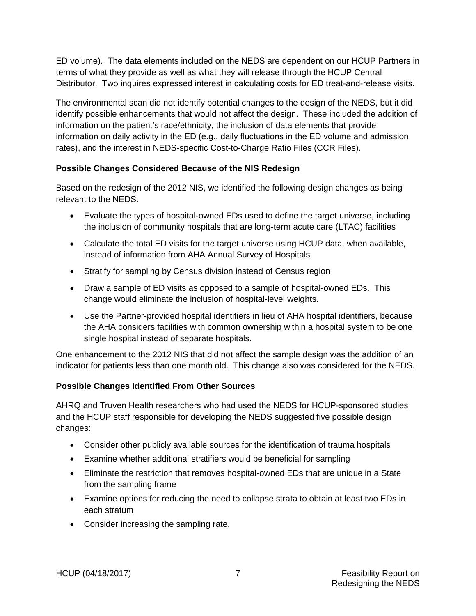ED volume). The data elements included on the NEDS are dependent on our HCUP Partners in terms of what they provide as well as what they will release through the HCUP Central Distributor. Two inquires expressed interest in calculating costs for ED treat-and-release visits.

The environmental scan did not identify potential changes to the design of the NEDS, but it did identify possible enhancements that would not affect the design. These included the addition of information on the patient's race/ethnicity, the inclusion of data elements that provide information on daily activity in the ED (e.g., daily fluctuations in the ED volume and admission rates), and the interest in NEDS-specific Cost-to-Charge Ratio Files (CCR Files).

# <span id="page-18-0"></span>**Possible Changes Considered Because of the NIS Redesign**

Based on the redesign of the 2012 NIS, we identified the following design changes as being relevant to the NEDS:

- Evaluate the types of hospital-owned EDs used to define the target universe, including the inclusion of community hospitals that are long-term acute care (LTAC) facilities
- Calculate the total ED visits for the target universe using HCUP data, when available, instead of information from AHA Annual Survey of Hospitals
- Stratify for sampling by Census division instead of Census region
- Draw a sample of ED visits as opposed to a sample of hospital-owned EDs. This change would eliminate the inclusion of hospital-level weights.
- Use the Partner-provided hospital identifiers in lieu of AHA hospital identifiers, because the AHA considers facilities with common ownership within a hospital system to be one single hospital instead of separate hospitals.

One enhancement to the 2012 NIS that did not affect the sample design was the addition of an indicator for patients less than one month old. This change also was considered for the NEDS.

# <span id="page-18-1"></span>**Possible Changes Identified From Other Sources**

AHRQ and Truven Health researchers who had used the NEDS for HCUP-sponsored studies and the HCUP staff responsible for developing the NEDS suggested five possible design changes:

- Consider other publicly available sources for the identification of trauma hospitals
- Examine whether additional stratifiers would be beneficial for sampling
- Eliminate the restriction that removes hospital-owned EDs that are unique in a State from the sampling frame
- Examine options for reducing the need to collapse strata to obtain at least two EDs in each stratum
- Consider increasing the sampling rate.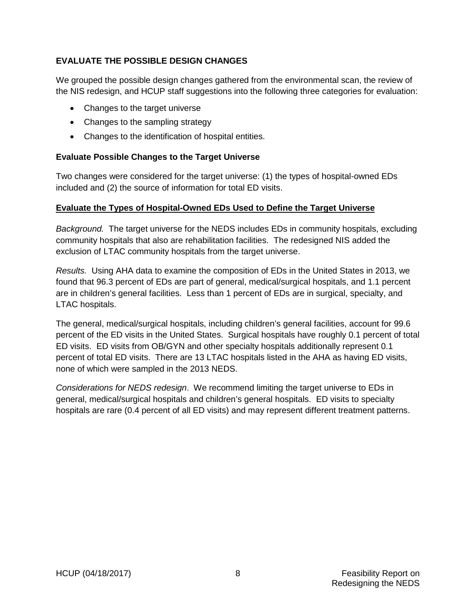## <span id="page-19-0"></span>**EVALUATE THE POSSIBLE DESIGN CHANGES**

We grouped the possible design changes gathered from the environmental scan, the review of the NIS redesign, and HCUP staff suggestions into the following three categories for evaluation:

- Changes to the target universe
- Changes to the sampling strategy
- Changes to the identification of hospital entities.

#### <span id="page-19-1"></span>**Evaluate Possible Changes to the Target Universe**

Two changes were considered for the target universe: (1) the types of hospital-owned EDs included and (2) the source of information for total ED visits.

#### <span id="page-19-2"></span>**Evaluate the Types of Hospital-Owned EDs Used to Define the Target Universe**

*Background.* The target universe for the NEDS includes EDs in community hospitals, excluding community hospitals that also are rehabilitation facilities. The redesigned NIS added the exclusion of LTAC community hospitals from the target universe.

*Results.* Using AHA data to examine the composition of EDs in the United States in 2013, we found that 96.3 percent of EDs are part of general, medical/surgical hospitals, and 1.1 percent are in children's general facilities. Less than 1 percent of EDs are in surgical, specialty, and LTAC hospitals.

The general, medical/surgical hospitals, including children's general facilities, account for 99.6 percent of the ED visits in the United States. Surgical hospitals have roughly 0.1 percent of total ED visits. ED visits from OB/GYN and other specialty hospitals additionally represent 0.1 percent of total ED visits. There are 13 LTAC hospitals listed in the AHA as having ED visits, none of which were sampled in the 2013 NEDS.

*Considerations for NEDS redesign*. We recommend limiting the target universe to EDs in general, medical/surgical hospitals and children's general hospitals. ED visits to specialty hospitals are rare (0.4 percent of all ED visits) and may represent different treatment patterns.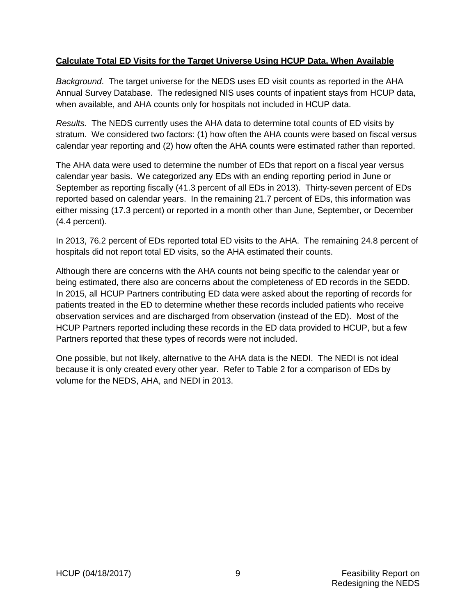#### <span id="page-20-0"></span>**Calculate Total ED Visits for the Target Universe Using HCUP Data, When Available**

*Background*. The target universe for the NEDS uses ED visit counts as reported in the AHA Annual Survey Database. The redesigned NIS uses counts of inpatient stays from HCUP data, when available, and AHA counts only for hospitals not included in HCUP data.

*Results.* The NEDS currently uses the AHA data to determine total counts of ED visits by stratum. We considered two factors: (1) how often the AHA counts were based on fiscal versus calendar year reporting and (2) how often the AHA counts were estimated rather than reported.

The AHA data were used to determine the number of EDs that report on a fiscal year versus calendar year basis. We categorized any EDs with an ending reporting period in June or September as reporting fiscally (41.3 percent of all EDs in 2013). Thirty-seven percent of EDs reported based on calendar years. In the remaining 21.7 percent of EDs, this information was either missing (17.3 percent) or reported in a month other than June, September, or December (4.4 percent).

In 2013, 76.2 percent of EDs reported total ED visits to the AHA. The remaining 24.8 percent of hospitals did not report total ED visits, so the AHA estimated their counts.

Although there are concerns with the AHA counts not being specific to the calendar year or being estimated, there also are concerns about the completeness of ED records in the SEDD. In 2015, all HCUP Partners contributing ED data were asked about the reporting of records for patients treated in the ED to determine whether these records included patients who receive observation services and are discharged from observation (instead of the ED). Most of the HCUP Partners reported including these records in the ED data provided to HCUP, but a few Partners reported that these types of records were not included.

One possible, but not likely, alternative to the AHA data is the NEDI. The NEDI is not ideal because it is only created every other year. Refer to Table 2 for a comparison of EDs by volume for the NEDS, AHA, and NEDI in 2013.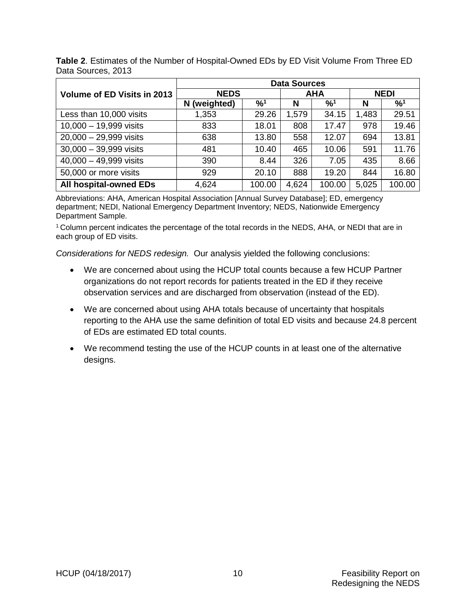|                                    | <b>Data Sources</b> |                            |            |        |             |                            |
|------------------------------------|---------------------|----------------------------|------------|--------|-------------|----------------------------|
| <b>Volume of ED Visits in 2013</b> | <b>NEDS</b>         |                            | <b>AHA</b> |        | <b>NEDI</b> |                            |
|                                    | (weighted)<br>N     | $\frac{9}{6}$ <sup>1</sup> | N          | %1     | N           | $\frac{9}{6}$ <sup>1</sup> |
| Less than 10,000 visits            | 1,353               | 29.26                      | 1,579      | 34.15  | 1,483       | 29.51                      |
| $10,000 - 19,999$ visits           | 833                 | 18.01                      | 808        | 17.47  | 978         | 19.46                      |
| $20,000 - 29,999$ visits           | 638                 | 13.80                      | 558        | 12.07  | 694         | 13.81                      |
| $30,000 - 39,999$ visits           | 481                 | 10.40                      | 465        | 10.06  | 591         | 11.76                      |
| $40,000 - 49,999$ visits           | 390                 | 8.44                       | 326        | 7.05   | 435         | 8.66                       |
| 50,000 or more visits              | 929                 | 20.10                      | 888        | 19.20  | 844         | 16.80                      |
| All hospital-owned EDs             | 4,624               | 100.00                     | 4,624      | 100.00 | 5,025       | 100.00                     |

<span id="page-21-0"></span>**Table 2**. Estimates of the Number of Hospital-Owned EDs by ED Visit Volume From Three ED Data Sources, 2013

Abbreviations: AHA, American Hospital Association [Annual Survey Database]; ED, emergency department; NEDI, National Emergency Department Inventory; NEDS, Nationwide Emergency Department Sample.

<sup>1</sup> Column percent indicates the percentage of the total records in the NEDS, AHA, or NEDI that are in each group of ED visits.

*Considerations for NEDS redesign.* Our analysis yielded the following conclusions:

- We are concerned about using the HCUP total counts because a few HCUP Partner organizations do not report records for patients treated in the ED if they receive observation services and are discharged from observation (instead of the ED).
- We are concerned about using AHA totals because of uncertainty that hospitals reporting to the AHA use the same definition of total ED visits and because 24.8 percent of EDs are estimated ED total counts.
- We recommend testing the use of the HCUP counts in at least one of the alternative designs.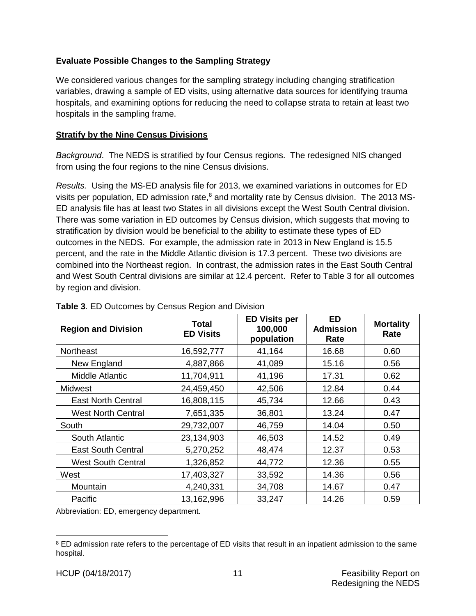## <span id="page-22-0"></span>**Evaluate Possible Changes to the Sampling Strategy**

We considered various changes for the sampling strategy including changing stratification variables, drawing a sample of ED visits, using alternative data sources for identifying trauma hospitals, and examining options for reducing the need to collapse strata to retain at least two hospitals in the sampling frame.

#### <span id="page-22-1"></span>**Stratify by the Nine Census Divisions**

*Background*.The NEDS is stratified by four Census regions. The redesigned NIS changed from using the four regions to the nine Census divisions.

*Results.* Using the MS-ED analysis file for 2013, we examined variations in outcomes for ED visits per population, ED admission rate,<sup>[8](#page-22-3)</sup> and mortality rate by Census division. The 2013 MS-ED analysis file has at least two States in all divisions except the West South Central division. There was some variation in ED outcomes by Census division, which suggests that moving to stratification by division would be beneficial to the ability to estimate these types of ED outcomes in the NEDS. For example, the admission rate in 2013 in New England is 15.5 percent, and the rate in the Middle Atlantic division is 17.3 percent. These two divisions are combined into the Northeast region. In contrast, the admission rates in the East South Central and West South Central divisions are similar at 12.4 percent. Refer to Table 3 for all outcomes by region and division.

| <b>Region and Division</b> | Total<br><b>ED Visits</b> | <b>ED Visits per</b><br>100,000<br>population | <b>ED</b><br><b>Admission</b><br>Rate | <b>Mortality</b><br>Rate |
|----------------------------|---------------------------|-----------------------------------------------|---------------------------------------|--------------------------|
| <b>Northeast</b>           | 16,592,777                | 41,164                                        | 16.68                                 | 0.60                     |
| New England                | 4,887,866                 | 41,089                                        | 15.16                                 | 0.56                     |
| Middle Atlantic            | 11,704,911                | 41,196                                        | 17.31                                 | 0.62                     |
| <b>Midwest</b>             | 24,459,450                | 42,506                                        | 12.84                                 | 0.44                     |
| <b>East North Central</b>  | 16,808,115                | 45,734                                        | 12.66                                 | 0.43                     |
| <b>West North Central</b>  | 7,651,335                 | 36,801                                        | 13.24                                 | 0.47                     |
| South                      | 29,732,007                | 46,759                                        | 14.04                                 | 0.50                     |
| South Atlantic             | 23,134,903                | 46,503                                        | 14.52                                 | 0.49                     |
| <b>East South Central</b>  | 5,270,252                 | 48,474                                        | 12.37                                 | 0.53                     |
| <b>West South Central</b>  | 1,326,852                 | 44,772                                        | 12.36                                 | 0.55                     |
| West                       | 17,403,327                | 33,592                                        | 14.36                                 | 0.56                     |
| Mountain                   | 4,240,331                 | 34,708                                        | 14.67                                 | 0.47                     |
| Pacific                    | 13,162,996                | 33,247                                        | 14.26                                 | 0.59                     |

<span id="page-22-2"></span>

| Table 3. ED Outcomes by Census Region and Division |  |  |
|----------------------------------------------------|--|--|
|----------------------------------------------------|--|--|

Abbreviation: ED, emergency department.

<span id="page-22-3"></span><sup>&</sup>lt;sup>8</sup> ED admission rate refers to the percentage of ED visits that result in an inpatient admission to the same hospital.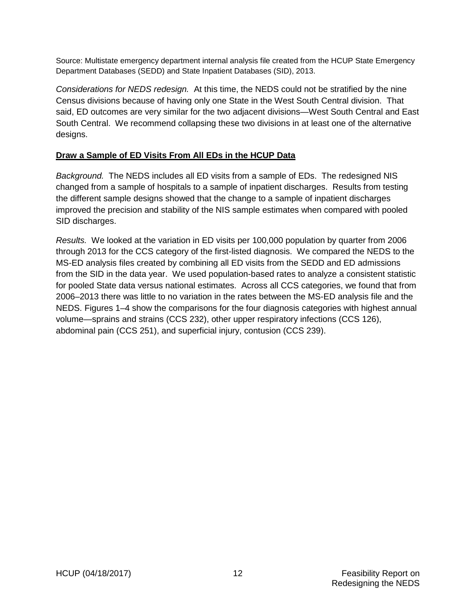Source: Multistate emergency department internal analysis file created from the HCUP State Emergency Department Databases (SEDD) and State Inpatient Databases (SID), 2013.

*Considerations for NEDS redesign.* At this time, the NEDS could not be stratified by the nine Census divisions because of having only one State in the West South Central division. That said, ED outcomes are very similar for the two adjacent divisions—West South Central and East South Central. We recommend collapsing these two divisions in at least one of the alternative designs.

#### <span id="page-23-0"></span>**Draw a Sample of ED Visits From All EDs in the HCUP Data**

*Background.* The NEDS includes all ED visits from a sample of EDs. The redesigned NIS changed from a sample of hospitals to a sample of inpatient discharges. Results from testing the different sample designs showed that the change to a sample of inpatient discharges improved the precision and stability of the NIS sample estimates when compared with pooled SID discharges.

*Results.* We looked at the variation in ED visits per 100,000 population by quarter from 2006 through 2013 for the CCS category of the first-listed diagnosis. We compared the NEDS to the MS-ED analysis files created by combining all ED visits from the SEDD and ED admissions from the SID in the data year. We used population-based rates to analyze a consistent statistic for pooled State data versus national estimates. Across all CCS categories, we found that from 2006–2013 there was little to no variation in the rates between the MS-ED analysis file and the NEDS. Figures 1–4 show the comparisons for the four diagnosis categories with highest annual volume—sprains and strains (CCS 232), other upper respiratory infections (CCS 126), abdominal pain (CCS 251), and superficial injury, contusion (CCS 239).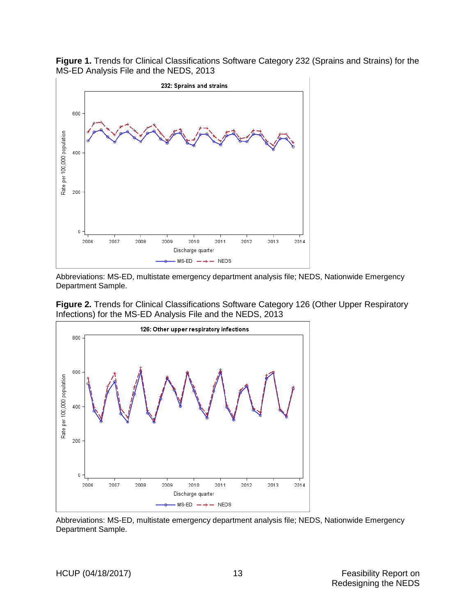<span id="page-24-0"></span>**Figure 1.** Trends for Clinical Classifications Software Category 232 (Sprains and Strains) for the MS-ED Analysis File and the NEDS, 2013



Abbreviations: MS-ED, multistate emergency department analysis file; NEDS, Nationwide Emergency Department Sample.

<span id="page-24-1"></span>



Abbreviations: MS-ED, multistate emergency department analysis file; NEDS, Nationwide Emergency Department Sample.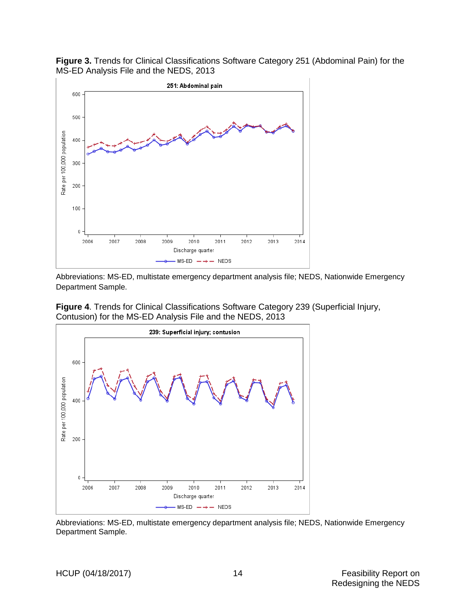

<span id="page-25-0"></span>**Figure 3.** Trends for Clinical Classifications Software Category 251 (Abdominal Pain) for the MS-ED Analysis File and the NEDS, 2013

Abbreviations: MS-ED, multistate emergency department analysis file; NEDS, Nationwide Emergency Department Sample.

<span id="page-25-1"></span>



Abbreviations: MS-ED, multistate emergency department analysis file; NEDS, Nationwide Emergency Department Sample.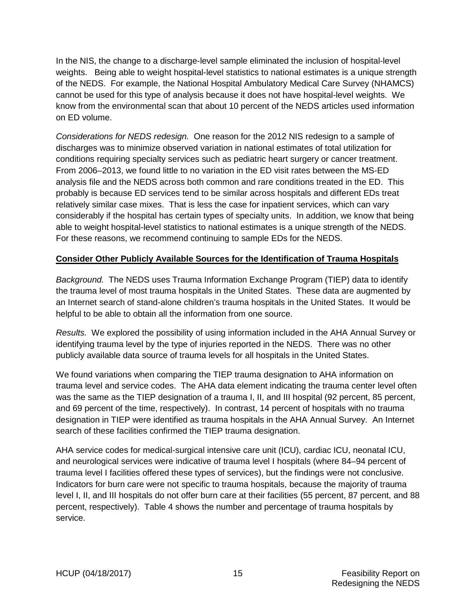In the NIS, the change to a discharge-level sample eliminated the inclusion of hospital-level weights. Being able to weight hospital-level statistics to national estimates is a unique strength of the NEDS. For example, the National Hospital Ambulatory Medical Care Survey (NHAMCS) cannot be used for this type of analysis because it does not have hospital-level weights. We know from the environmental scan that about 10 percent of the NEDS articles used information on ED volume.

*Considerations for NEDS redesign.* One reason for the 2012 NIS redesign to a sample of discharges was to minimize observed variation in national estimates of total utilization for conditions requiring specialty services such as pediatric heart surgery or cancer treatment. From 2006–2013, we found little to no variation in the ED visit rates between the MS-ED analysis file and the NEDS across both common and rare conditions treated in the ED. This probably is because ED services tend to be similar across hospitals and different EDs treat relatively similar case mixes. That is less the case for inpatient services, which can vary considerably if the hospital has certain types of specialty units. In addition, we know that being able to weight hospital-level statistics to national estimates is a unique strength of the NEDS. For these reasons, we recommend continuing to sample EDs for the NEDS.

#### <span id="page-26-0"></span>**Consider Other Publicly Available Sources for the Identification of Trauma Hospitals**

*Background.* The NEDS uses Trauma Information Exchange Program (TIEP) data to identify the trauma level of most trauma hospitals in the United States. These data are augmented by an Internet search of stand-alone children's trauma hospitals in the United States. It would be helpful to be able to obtain all the information from one source.

*Results.* We explored the possibility of using information included in the AHA Annual Survey or identifying trauma level by the type of injuries reported in the NEDS. There was no other publicly available data source of trauma levels for all hospitals in the United States.

We found variations when comparing the TIEP trauma designation to AHA information on trauma level and service codes. The AHA data element indicating the trauma center level often was the same as the TIEP designation of a trauma I, II, and III hospital (92 percent, 85 percent, and 69 percent of the time, respectively). In contrast, 14 percent of hospitals with no trauma designation in TIEP were identified as trauma hospitals in the AHA Annual Survey. An Internet search of these facilities confirmed the TIEP trauma designation.

AHA service codes for medical-surgical intensive care unit (ICU), cardiac ICU, neonatal ICU, and neurological services were indicative of trauma level I hospitals (where 84–94 percent of trauma level I facilities offered these types of services), but the findings were not conclusive. Indicators for burn care were not specific to trauma hospitals, because the majority of trauma level I, II, and III hospitals do not offer burn care at their facilities (55 percent, 87 percent, and 88 percent, respectively). Table 4 shows the number and percentage of trauma hospitals by service.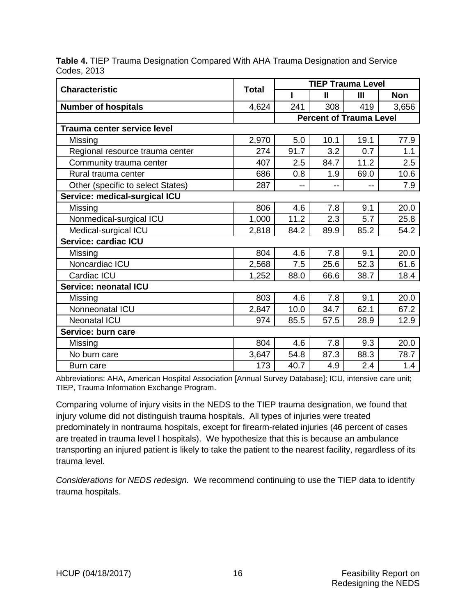<span id="page-27-1"></span>

|             | Table 4. TIEP Trauma Designation Compared With AHA Trauma Designation and Service |  |
|-------------|-----------------------------------------------------------------------------------|--|
| Codes, 2013 |                                                                                   |  |

|                                    |              | <b>TIEP Trauma Level</b> |                                |                |            |
|------------------------------------|--------------|--------------------------|--------------------------------|----------------|------------|
| <b>Characteristic</b>              | <b>Total</b> |                          | $\mathbf{I}$                   | $\mathbf{III}$ | <b>Non</b> |
| <b>Number of hospitals</b>         | 4,624        | 241                      | 308                            | 419            | 3,656      |
|                                    |              |                          | <b>Percent of Trauma Level</b> |                |            |
| <b>Trauma center service level</b> |              |                          |                                |                |            |
| Missing                            | 2,970        | 5.0                      | 10.1                           | 19.1           | 77.9       |
| Regional resource trauma center    | 274          | 91.7                     | 3.2                            | 0.7            | 1.1        |
| Community trauma center            | 407          | 2.5                      | 84.7                           | 11.2           | 2.5        |
| Rural trauma center                | 686          | 0.8                      | 1.9                            | 69.0           | 10.6       |
| Other (specific to select States)  | 287          | $- -$                    | --                             |                | 7.9        |
| Service: medical-surgical ICU      |              |                          |                                |                |            |
| Missing                            | 806          | 4.6                      | 7.8                            | 9.1            | 20.0       |
| Nonmedical-surgical ICU            | 1,000        | 11.2                     | 2.3                            | 5.7            | 25.8       |
| Medical-surgical ICU               | 2,818        | 84.2                     | 89.9                           | 85.2           | 54.2       |
| Service: cardiac ICU               |              |                          |                                |                |            |
| Missing                            | 804          | 4.6                      | 7.8                            | 9.1            | 20.0       |
| Noncardiac ICU                     | 2,568        | 7.5                      | 25.6                           | 52.3           | 61.6       |
| Cardiac ICU                        | 1,252        | 88.0                     | 66.6                           | 38.7           | 18.4       |
| Service: neonatal ICU              |              |                          |                                |                |            |
| Missing                            | 803          | 4.6                      | 7.8                            | 9.1            | 20.0       |
| Nonneonatal ICU                    | 2,847        | 10.0                     | 34.7                           | 62.1           | 67.2       |
| <b>Neonatal ICU</b>                | 974          | 85.5                     | 57.5                           | 28.9           | 12.9       |
| Service: burn care                 |              |                          |                                |                |            |
| Missing                            | 804          | 4.6                      | 7.8                            | 9.3            | 20.0       |
| No burn care                       | 3,647        | 54.8                     | 87.3                           | 88.3           | 78.7       |
| Burn care                          | 173          | 40.7                     | 4.9                            | 2.4            | 1.4        |

Abbreviations: AHA, American Hospital Association [Annual Survey Database]; ICU, intensive care unit; TIEP, Trauma Information Exchange Program.

Comparing volume of injury visits in the NEDS to the TIEP trauma designation, we found that injury volume did not distinguish trauma hospitals. All types of injuries were treated predominately in nontrauma hospitals, except for firearm-related injuries (46 percent of cases are treated in trauma level I hospitals). We hypothesize that this is because an ambulance transporting an injured patient is likely to take the patient to the nearest facility, regardless of its trauma level.

<span id="page-27-0"></span>*Considerations for NEDS redesign.* We recommend continuing to use the TIEP data to identify trauma hospitals.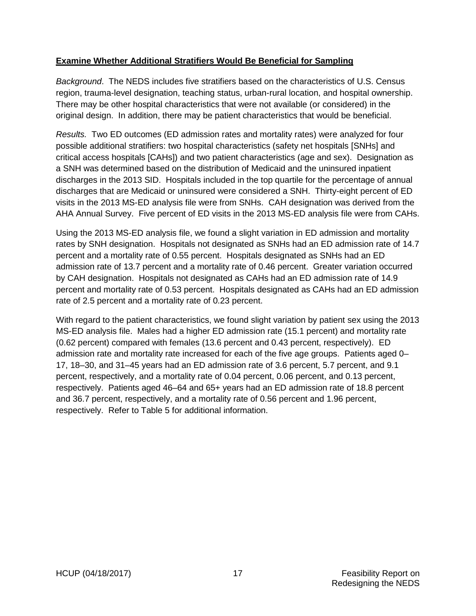#### **Examine Whether Additional Stratifiers Would Be Beneficial for Sampling**

*Background*. The NEDS includes five stratifiers based on the characteristics of U.S. Census region, trauma-level designation, teaching status, urban-rural location, and hospital ownership. There may be other hospital characteristics that were not available (or considered) in the original design. In addition, there may be patient characteristics that would be beneficial.

*Results.* Two ED outcomes (ED admission rates and mortality rates) were analyzed for four possible additional stratifiers: two hospital characteristics (safety net hospitals [SNHs] and critical access hospitals [CAHs]) and two patient characteristics (age and sex). Designation as a SNH was determined based on the distribution of Medicaid and the uninsured inpatient discharges in the 2013 SID. Hospitals included in the top quartile for the percentage of annual discharges that are Medicaid or uninsured were considered a SNH. Thirty-eight percent of ED visits in the 2013 MS-ED analysis file were from SNHs. CAH designation was derived from the AHA Annual Survey. Five percent of ED visits in the 2013 MS-ED analysis file were from CAHs.

Using the 2013 MS-ED analysis file, we found a slight variation in ED admission and mortality rates by SNH designation. Hospitals not designated as SNHs had an ED admission rate of 14.7 percent and a mortality rate of 0.55 percent. Hospitals designated as SNHs had an ED admission rate of 13.7 percent and a mortality rate of 0.46 percent. Greater variation occurred by CAH designation. Hospitals not designated as CAHs had an ED admission rate of 14.9 percent and mortality rate of 0.53 percent. Hospitals designated as CAHs had an ED admission rate of 2.5 percent and a mortality rate of 0.23 percent.

With regard to the patient characteristics, we found slight variation by patient sex using the 2013 MS-ED analysis file. Males had a higher ED admission rate (15.1 percent) and mortality rate (0.62 percent) compared with females (13.6 percent and 0.43 percent, respectively). ED admission rate and mortality rate increased for each of the five age groups. Patients aged 0– 17, 18–30, and 31–45 years had an ED admission rate of 3.6 percent, 5.7 percent, and 9.1 percent, respectively, and a mortality rate of 0.04 percent, 0.06 percent, and 0.13 percent, respectively. Patients aged 46–64 and 65+ years had an ED admission rate of 18.8 percent and 36.7 percent, respectively, and a mortality rate of 0.56 percent and 1.96 percent, respectively. Refer to Table 5 for additional information.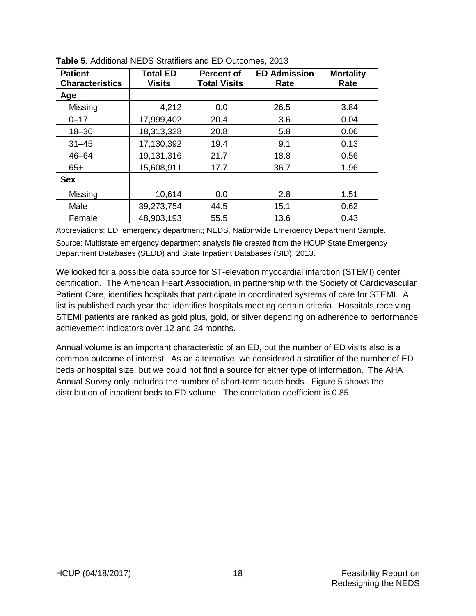| <b>Patient</b><br><b>Characteristics</b> | <b>Total ED</b><br><b>Visits</b> | <b>Percent of</b><br><b>Total Visits</b> | <b>ED Admission</b><br>Rate | <b>Mortality</b><br>Rate |  |
|------------------------------------------|----------------------------------|------------------------------------------|-----------------------------|--------------------------|--|
| Age                                      |                                  |                                          |                             |                          |  |
| Missing                                  | 4,212                            | 0.0                                      | 26.5                        | 3.84                     |  |
| $0 - 17$                                 | 17,999,402                       | 20.4                                     | 3.6                         | 0.04                     |  |
| $18 - 30$                                | 18,313,328                       | 20.8                                     | 5.8                         | 0.06                     |  |
| $31 - 45$                                | 17,130,392                       | 19.4                                     | 9.1                         | 0.13                     |  |
| $46 - 64$                                | 19,131,316                       | 21.7                                     | 18.8                        | 0.56                     |  |
| $65+$                                    | 15,608,911                       | 17.7                                     | 36.7                        | 1.96                     |  |
| <b>Sex</b>                               |                                  |                                          |                             |                          |  |
| Missing                                  | 10,614                           | 0.0                                      | 2.8                         | 1.51                     |  |
| Male                                     | 39,273,754                       | 44.5                                     | 15.1                        | 0.62                     |  |
| Female                                   | 48,903,193                       | 55.5                                     | 13.6                        | 0.43                     |  |

<span id="page-29-0"></span>

Abbreviations: ED, emergency department; NEDS, Nationwide Emergency Department Sample. Source: Multistate emergency department analysis file created from the HCUP State Emergency Department Databases (SEDD) and State Inpatient Databases (SID), 2013.

We looked for a possible data source for ST-elevation myocardial infarction (STEMI) center certification. The American Heart Association, in partnership with the Society of Cardiovascular Patient Care, identifies hospitals that participate in coordinated systems of care for STEMI. A list is published each year that identifies hospitals meeting certain criteria. Hospitals receiving STEMI patients are ranked as gold plus, gold, or silver depending on adherence to performance achievement indicators over 12 and 24 months.

Annual volume is an important characteristic of an ED, but the number of ED visits also is a common outcome of interest. As an alternative, we considered a stratifier of the number of ED beds or hospital size, but we could not find a source for either type of information. The AHA Annual Survey only includes the number of short-term acute beds. Figure 5 shows the distribution of inpatient beds to ED volume. The correlation coefficient is 0.85.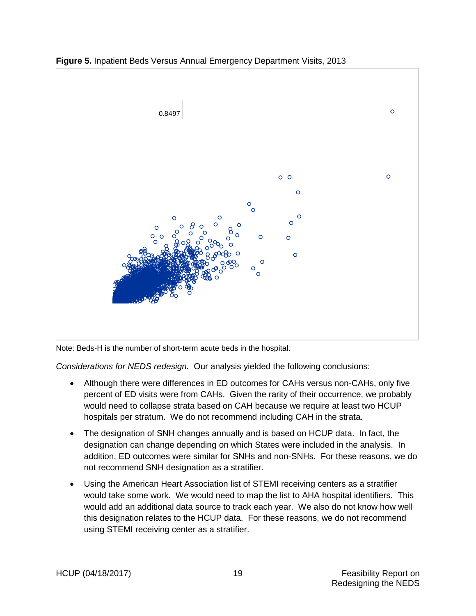

<span id="page-30-0"></span>**Figure 5.** Inpatient Beds Versus Annual Emergency Department Visits, 2013

Note: Beds-H is the number of short-term acute beds in the hospital.

*Considerations for NEDS redesign.* Our analysis yielded the following conclusions:

- Although there were differences in ED outcomes for CAHs versus non-CAHs, only five percent of ED visits were from CAHs. Given the rarity of their occurrence, we probably would need to collapse strata based on CAH because we require at least two HCUP hospitals per stratum. We do not recommend including CAH in the strata.
- The designation of SNH changes annually and is based on HCUP data. In fact, the designation can change depending on which States were included in the analysis. In addition, ED outcomes were similar for SNHs and non-SNHs. For these reasons, we do not recommend SNH designation as a stratifier.
- Using the American Heart Association list of STEMI receiving centers as a stratifier would take some work. We would need to map the list to AHA hospital identifiers. This would add an additional data source to track each year. We also do not know how well this designation relates to the HCUP data. For these reasons, we do not recommend using STEMI receiving center as a stratifier.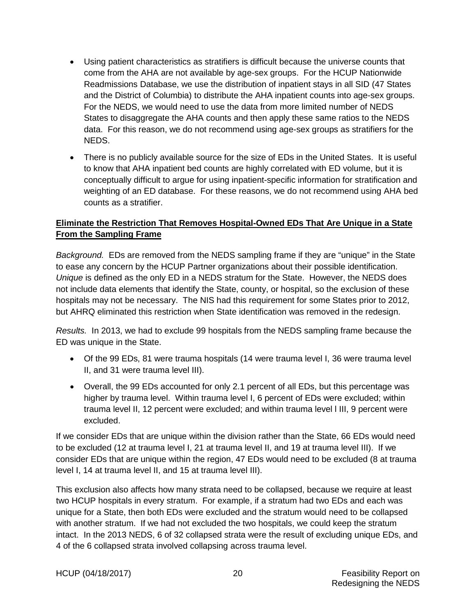- Using patient characteristics as stratifiers is difficult because the universe counts that come from the AHA are not available by age-sex groups. For the HCUP Nationwide Readmissions Database, we use the distribution of inpatient stays in all SID (47 States and the District of Columbia) to distribute the AHA inpatient counts into age-sex groups. For the NEDS, we would need to use the data from more limited number of NEDS States to disaggregate the AHA counts and then apply these same ratios to the NEDS data. For this reason, we do not recommend using age-sex groups as stratifiers for the NEDS.
- There is no publicly available source for the size of EDs in the United States. It is useful to know that AHA inpatient bed counts are highly correlated with ED volume, but it is conceptually difficult to argue for using inpatient-specific information for stratification and weighting of an ED database. For these reasons, we do not recommend using AHA bed counts as a stratifier.

## <span id="page-31-0"></span>**Eliminate the Restriction That Removes Hospital-Owned EDs That Are Unique in a State From the Sampling Frame**

*Background.* EDs are removed from the NEDS sampling frame if they are "unique" in the State to ease any concern by the HCUP Partner organizations about their possible identification. *Unique* is defined as the only ED in a NEDS stratum for the State. However, the NEDS does not include data elements that identify the State, county, or hospital, so the exclusion of these hospitals may not be necessary. The NIS had this requirement for some States prior to 2012, but AHRQ eliminated this restriction when State identification was removed in the redesign.

*Results.* In 2013, we had to exclude 99 hospitals from the NEDS sampling frame because the ED was unique in the State.

- Of the 99 EDs, 81 were trauma hospitals (14 were trauma level I, 36 were trauma level II, and 31 were trauma level III).
- Overall, the 99 EDs accounted for only 2.1 percent of all EDs, but this percentage was higher by trauma level. Within trauma level I, 6 percent of EDs were excluded; within trauma level II, 12 percent were excluded; and within trauma level l III, 9 percent were excluded.

If we consider EDs that are unique within the division rather than the State, 66 EDs would need to be excluded (12 at trauma level I, 21 at trauma level II, and 19 at trauma level III). If we consider EDs that are unique within the region, 47 EDs would need to be excluded (8 at trauma level I, 14 at trauma level II, and 15 at trauma level III).

This exclusion also affects how many strata need to be collapsed, because we require at least two HCUP hospitals in every stratum. For example, if a stratum had two EDs and each was unique for a State, then both EDs were excluded and the stratum would need to be collapsed with another stratum. If we had not excluded the two hospitals, we could keep the stratum intact. In the 2013 NEDS, 6 of 32 collapsed strata were the result of excluding unique EDs, and 4 of the 6 collapsed strata involved collapsing across trauma level.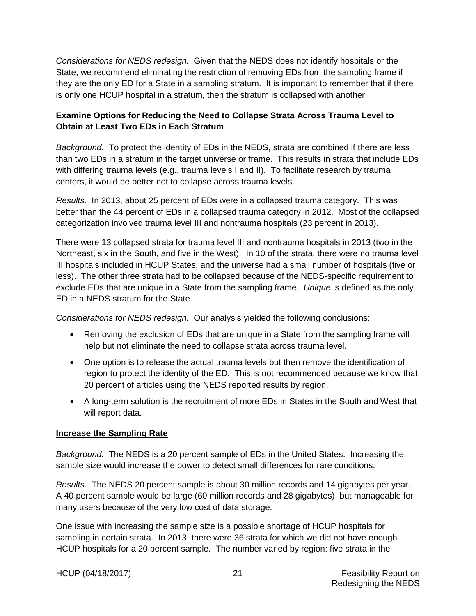*Considerations for NEDS redesign.* Given that the NEDS does not identify hospitals or the State, we recommend eliminating the restriction of removing EDs from the sampling frame if they are the only ED for a State in a sampling stratum. It is important to remember that if there is only one HCUP hospital in a stratum, then the stratum is collapsed with another.

## <span id="page-32-0"></span>**Examine Options for Reducing the Need to Collapse Strata Across Trauma Level to Obtain at Least Two EDs in Each Stratum**

*Background.* To protect the identity of EDs in the NEDS, strata are combined if there are less than two EDs in a stratum in the target universe or frame. This results in strata that include EDs with differing trauma levels (e.g., trauma levels I and II). To facilitate research by trauma centers, it would be better not to collapse across trauma levels.

*Results.* In 2013, about 25 percent of EDs were in a collapsed trauma category. This was better than the 44 percent of EDs in a collapsed trauma category in 2012. Most of the collapsed categorization involved trauma level III and nontrauma hospitals (23 percent in 2013).

There were 13 collapsed strata for trauma level III and nontrauma hospitals in 2013 (two in the Northeast, six in the South, and five in the West). In 10 of the strata, there were no trauma level III hospitals included in HCUP States, and the universe had a small number of hospitals (five or less). The other three strata had to be collapsed because of the NEDS-specific requirement to exclude EDs that are unique in a State from the sampling frame. *Unique* is defined as the only ED in a NEDS stratum for the State.

*Considerations for NEDS redesign.* Our analysis yielded the following conclusions:

- Removing the exclusion of EDs that are unique in a State from the sampling frame will help but not eliminate the need to collapse strata across trauma level.
- One option is to release the actual trauma levels but then remove the identification of region to protect the identity of the ED. This is not recommended because we know that 20 percent of articles using the NEDS reported results by region.
- A long-term solution is the recruitment of more EDs in States in the South and West that will report data.

#### <span id="page-32-1"></span>**Increase the Sampling Rate**

*Background.* The NEDS is a 20 percent sample of EDs in the United States. Increasing the sample size would increase the power to detect small differences for rare conditions.

*Results.* The NEDS 20 percent sample is about 30 million records and 14 gigabytes per year. A 40 percent sample would be large (60 million records and 28 gigabytes), but manageable for many users because of the very low cost of data storage.

One issue with increasing the sample size is a possible shortage of HCUP hospitals for sampling in certain strata. In 2013, there were 36 strata for which we did not have enough HCUP hospitals for a 20 percent sample. The number varied by region: five strata in the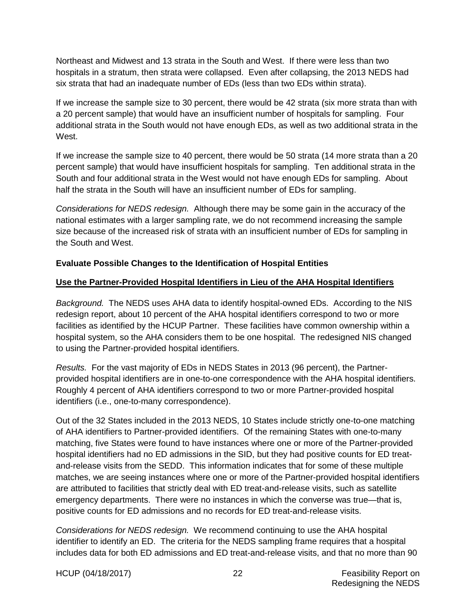Northeast and Midwest and 13 strata in the South and West. If there were less than two hospitals in a stratum, then strata were collapsed. Even after collapsing, the 2013 NEDS had six strata that had an inadequate number of EDs (less than two EDs within strata).

If we increase the sample size to 30 percent, there would be 42 strata (six more strata than with a 20 percent sample) that would have an insufficient number of hospitals for sampling. Four additional strata in the South would not have enough EDs, as well as two additional strata in the West.

If we increase the sample size to 40 percent, there would be 50 strata (14 more strata than a 20 percent sample) that would have insufficient hospitals for sampling. Ten additional strata in the South and four additional strata in the West would not have enough EDs for sampling. About half the strata in the South will have an insufficient number of EDs for sampling.

*Considerations for NEDS redesign.* Although there may be some gain in the accuracy of the national estimates with a larger sampling rate, we do not recommend increasing the sample size because of the increased risk of strata with an insufficient number of EDs for sampling in the South and West.

#### <span id="page-33-0"></span>**Evaluate Possible Changes to the Identification of Hospital Entities**

## <span id="page-33-1"></span>**Use the Partner-Provided Hospital Identifiers in Lieu of the AHA Hospital Identifiers**

*Background.* The NEDS uses AHA data to identify hospital-owned EDs. According to the NIS redesign report, about 10 percent of the AHA hospital identifiers correspond to two or more facilities as identified by the HCUP Partner. These facilities have common ownership within a hospital system, so the AHA considers them to be one hospital. The redesigned NIS changed to using the Partner-provided hospital identifiers.

*Results.* For the vast majority of EDs in NEDS States in 2013 (96 percent), the Partnerprovided hospital identifiers are in one-to-one correspondence with the AHA hospital identifiers. Roughly 4 percent of AHA identifiers correspond to two or more Partner-provided hospital identifiers (i.e., one-to-many correspondence).

Out of the 32 States included in the 2013 NEDS, 10 States include strictly one-to-one matching of AHA identifiers to Partner-provided identifiers. Of the remaining States with one-to-many matching, five States were found to have instances where one or more of the Partner-provided hospital identifiers had no ED admissions in the SID, but they had positive counts for ED treatand-release visits from the SEDD. This information indicates that for some of these multiple matches, we are seeing instances where one or more of the Partner-provided hospital identifiers are attributed to facilities that strictly deal with ED treat-and-release visits, such as satellite emergency departments. There were no instances in which the converse was true—that is, positive counts for ED admissions and no records for ED treat-and-release visits.

*Considerations for NEDS redesign.* We recommend continuing to use the AHA hospital identifier to identify an ED. The criteria for the NEDS sampling frame requires that a hospital includes data for both ED admissions and ED treat-and-release visits, and that no more than 90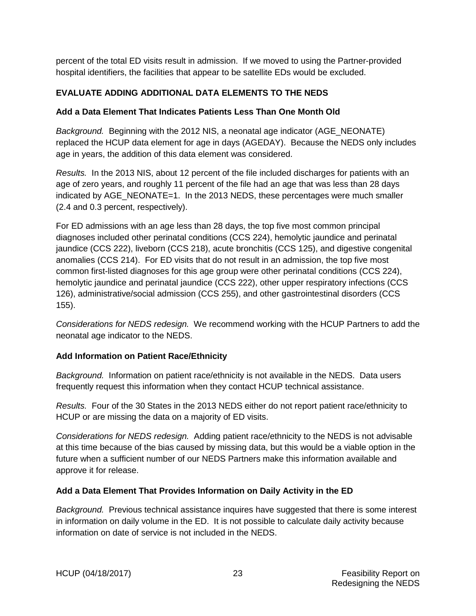percent of the total ED visits result in admission. If we moved to using the Partner-provided hospital identifiers, the facilities that appear to be satellite EDs would be excluded.

## <span id="page-34-0"></span>**EVALUATE ADDING ADDITIONAL DATA ELEMENTS TO THE NEDS**

#### <span id="page-34-1"></span>**Add a Data Element That Indicates Patients Less Than One Month Old**

*Background.* Beginning with the 2012 NIS, a neonatal age indicator (AGE\_NEONATE) replaced the HCUP data element for age in days (AGEDAY). Because the NEDS only includes age in years, the addition of this data element was considered.

*Results.* In the 2013 NIS, about 12 percent of the file included discharges for patients with an age of zero years, and roughly 11 percent of the file had an age that was less than 28 days indicated by AGE\_NEONATE=1. In the 2013 NEDS, these percentages were much smaller (2.4 and 0.3 percent, respectively).

For ED admissions with an age less than 28 days, the top five most common principal diagnoses included other perinatal conditions (CCS 224), hemolytic jaundice and perinatal jaundice (CCS 222), liveborn (CCS 218), acute bronchitis (CCS 125), and digestive congenital anomalies (CCS 214). For ED visits that do not result in an admission, the top five most common first-listed diagnoses for this age group were other perinatal conditions (CCS 224), hemolytic jaundice and perinatal jaundice (CCS 222), other upper respiratory infections (CCS 126), administrative/social admission (CCS 255), and other gastrointestinal disorders (CCS 155).

*Considerations for NEDS redesign.* We recommend working with the HCUP Partners to add the neonatal age indicator to the NEDS.

#### <span id="page-34-2"></span>**Add Information on Patient Race/Ethnicity**

*Background.* Information on patient race/ethnicity is not available in the NEDS. Data users frequently request this information when they contact HCUP technical assistance.

*Results.* Four of the 30 States in the 2013 NEDS either do not report patient race/ethnicity to HCUP or are missing the data on a majority of ED visits.

*Considerations for NEDS redesign.* Adding patient race/ethnicity to the NEDS is not advisable at this time because of the bias caused by missing data, but this would be a viable option in the future when a sufficient number of our NEDS Partners make this information available and approve it for release.

#### <span id="page-34-3"></span>**Add a Data Element That Provides Information on Daily Activity in the ED**

*Background.* Previous technical assistance inquires have suggested that there is some interest in information on daily volume in the ED. It is not possible to calculate daily activity because information on date of service is not included in the NEDS.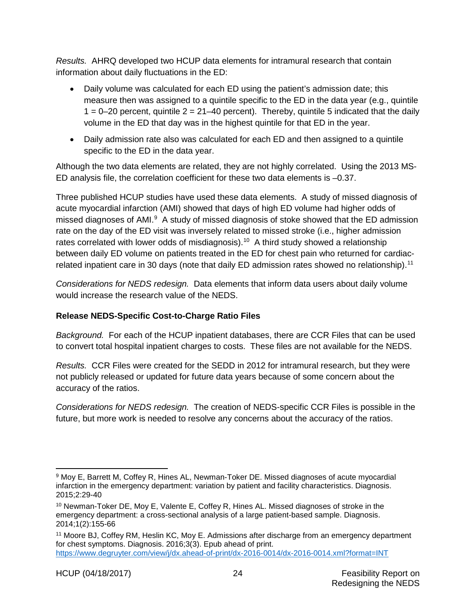*Results.* AHRQ developed two HCUP data elements for intramural research that contain information about daily fluctuations in the ED:

- Daily volume was calculated for each ED using the patient's admission date; this measure then was assigned to a quintile specific to the ED in the data year (e.g., quintile  $1 = 0-20$  percent, quintile  $2 = 21-40$  percent). Thereby, quintile 5 indicated that the daily volume in the ED that day was in the highest quintile for that ED in the year.
- Daily admission rate also was calculated for each ED and then assigned to a quintile specific to the ED in the data year.

Although the two data elements are related, they are not highly correlated. Using the 2013 MS-ED analysis file, the correlation coefficient for these two data elements is –0.37.

Three published HCUP studies have used these data elements. A study of missed diagnosis of acute myocardial infarction (AMI) showed that days of high ED volume had higher odds of missed diagnoses of AMI.<sup>9</sup> A study of missed diagnosis of stoke showed that the ED admission rate on the day of the ED visit was inversely related to missed stroke (i.e., higher admission rates correlated with lower odds of misdiagnosis).<sup>[10](#page-35-2)</sup> A third study showed a relationship between daily ED volume on patients treated in the ED for chest pain who returned for cardiac-related inpatient care in 30 days (note that daily ED admission rates showed no relationship).<sup>[11](#page-35-3)</sup>

*Considerations for NEDS redesign.* Data elements that inform data users about daily volume would increase the research value of the NEDS.

# <span id="page-35-0"></span>**Release NEDS-Specific Cost-to-Charge Ratio Files**

*Background.* For each of the HCUP inpatient databases, there are CCR Files that can be used to convert total hospital inpatient charges to costs. These files are not available for the NEDS.

*Results.* CCR Files were created for the SEDD in 2012 for intramural research, but they were not publicly released or updated for future data years because of some concern about the accuracy of the ratios.

*Considerations for NEDS redesign.* The creation of NEDS-specific CCR Files is possible in the future, but more work is needed to resolve any concerns about the accuracy of the ratios.

<span id="page-35-1"></span> <sup>9</sup> Moy E, Barrett M, Coffey R, Hines AL, Newman-Toker DE. Missed diagnoses of acute myocardial infarction in the emergency department: variation by patient and facility characteristics. Diagnosis. 2015;2:29-40

<span id="page-35-2"></span><sup>10</sup> Newman-Toker DE, Moy E, Valente E, Coffey R, Hines AL. Missed diagnoses of stroke in the emergency department: a cross-sectional analysis of a large patient-based sample. Diagnosis. 2014;1(2):155-66

<span id="page-35-3"></span><sup>&</sup>lt;sup>11</sup> Moore BJ, Coffey RM, Heslin KC, Moy E. Admissions after discharge from an emergency department for chest symptoms. Diagnosis. 2016;3(3). Epub ahead of print. <https://www.degruyter.com/view/j/dx.ahead-of-print/dx-2016-0014/dx-2016-0014.xml?format=INT>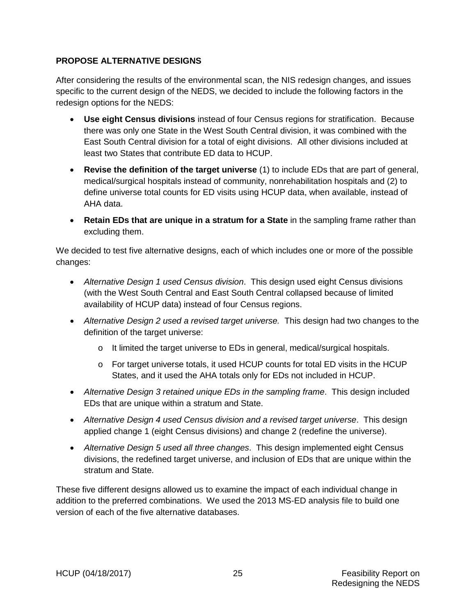## <span id="page-36-0"></span>**PROPOSE ALTERNATIVE DESIGNS**

After considering the results of the environmental scan, the NIS redesign changes, and issues specific to the current design of the NEDS, we decided to include the following factors in the redesign options for the NEDS:

- **Use eight Census divisions** instead of four Census regions for stratification. Because there was only one State in the West South Central division, it was combined with the East South Central division for a total of eight divisions. All other divisions included at least two States that contribute ED data to HCUP.
- **Revise the definition of the target universe** (1) to include EDs that are part of general, medical/surgical hospitals instead of community, nonrehabilitation hospitals and (2) to define universe total counts for ED visits using HCUP data, when available, instead of AHA data.
- **Retain EDs that are unique in a stratum for a State** in the sampling frame rather than excluding them.

We decided to test five alternative designs, each of which includes one or more of the possible changes:

- *Alternative Design 1 used Census division*. This design used eight Census divisions (with the West South Central and East South Central collapsed because of limited availability of HCUP data) instead of four Census regions.
- *Alternative Design 2 used a revised target universe.* This design had two changes to the definition of the target universe:
	- o It limited the target universe to EDs in general, medical/surgical hospitals.
	- o For target universe totals, it used HCUP counts for total ED visits in the HCUP States, and it used the AHA totals only for EDs not included in HCUP.
- *Alternative Design 3 retained unique EDs in the sampling frame*. This design included EDs that are unique within a stratum and State.
- *Alternative Design 4 used Census division and a revised target universe*. This design applied change 1 (eight Census divisions) and change 2 (redefine the universe).
- *Alternative Design 5 used all three changes*. This design implemented eight Census divisions, the redefined target universe, and inclusion of EDs that are unique within the stratum and State.

These five different designs allowed us to examine the impact of each individual change in addition to the preferred combinations. We used the 2013 MS-ED analysis file to build one version of each of the five alternative databases.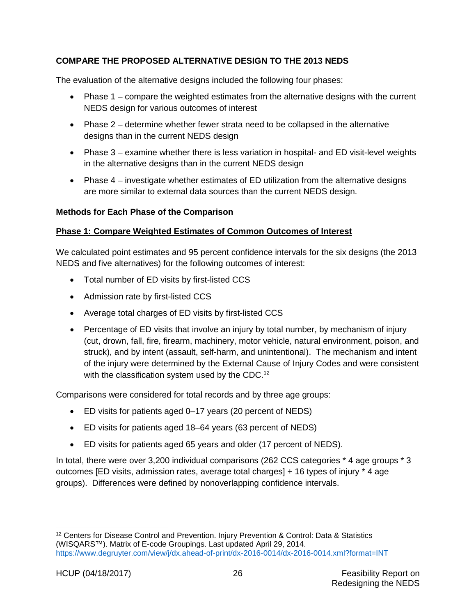## <span id="page-37-0"></span>**COMPARE THE PROPOSED ALTERNATIVE DESIGN TO THE 2013 NEDS**

The evaluation of the alternative designs included the following four phases:

- Phase 1 compare the weighted estimates from the alternative designs with the current NEDS design for various outcomes of interest
- Phase 2 determine whether fewer strata need to be collapsed in the alternative designs than in the current NEDS design
- Phase 3 examine whether there is less variation in hospital- and ED visit-level weights in the alternative designs than in the current NEDS design
- Phase 4 investigate whether estimates of ED utilization from the alternative designs are more similar to external data sources than the current NEDS design.

#### <span id="page-37-1"></span>**Methods for Each Phase of the Comparison**

#### <span id="page-37-2"></span>**Phase 1: Compare Weighted Estimates of Common Outcomes of Interest**

We calculated point estimates and 95 percent confidence intervals for the six designs (the 2013 NEDS and five alternatives) for the following outcomes of interest:

- Total number of ED visits by first-listed CCS
- Admission rate by first-listed CCS
- Average total charges of ED visits by first-listed CCS
- Percentage of ED visits that involve an injury by total number, by mechanism of injury (cut, drown, fall, fire, firearm, machinery, motor vehicle, natural environment, poison, and struck), and by intent (assault, self-harm, and unintentional). The mechanism and intent of the injury were determined by the External Cause of Injury Codes and were consistent with the classification system used by the CDC.<sup>[12](#page-37-3)</sup>

Comparisons were considered for total records and by three age groups:

- ED visits for patients aged 0–17 years (20 percent of NEDS)
- ED visits for patients aged 18–64 years (63 percent of NEDS)
- ED visits for patients aged 65 years and older (17 percent of NEDS).

In total, there were over 3,200 individual comparisons (262 CCS categories \* 4 age groups \* 3 outcomes [ED visits, admission rates, average total charges] + 16 types of injury \* 4 age groups). Differences were defined by nonoverlapping confidence intervals.

<span id="page-37-3"></span><sup>&</sup>lt;sup>12</sup> Centers for Disease Control and Prevention. Injury Prevention & Control: Data & Statistics (WISQARS™). Matrix of E-code Groupings. Last updated April 29, 2014. <https://www.degruyter.com/view/j/dx.ahead-of-print/dx-2016-0014/dx-2016-0014.xml?format=INT>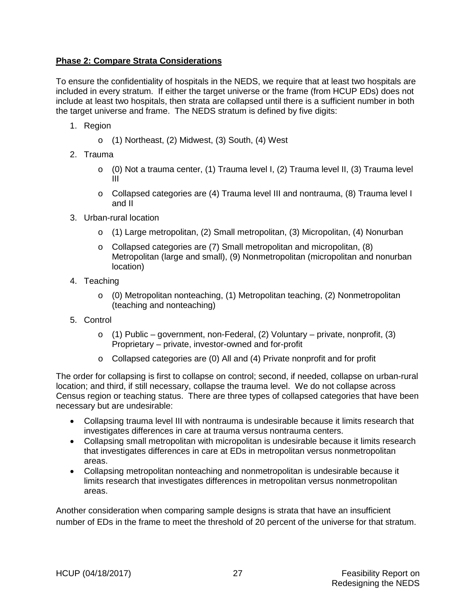## <span id="page-38-0"></span>**Phase 2: Compare Strata Considerations**

To ensure the confidentiality of hospitals in the NEDS, we require that at least two hospitals are included in every stratum. If either the target universe or the frame (from HCUP EDs) does not include at least two hospitals, then strata are collapsed until there is a sufficient number in both the target universe and frame. The NEDS stratum is defined by five digits:

- 1. Region
	- o (1) Northeast, (2) Midwest, (3) South, (4) West
- 2. Trauma
	- $\circ$  (0) Not a trauma center, (1) Trauma level I, (2) Trauma level II, (3) Trauma level III
	- o Collapsed categories are (4) Trauma level III and nontrauma, (8) Trauma level I and II
- 3. Urban-rural location
	- o (1) Large metropolitan, (2) Small metropolitan, (3) Micropolitan, (4) Nonurban
	- o Collapsed categories are (7) Small metropolitan and micropolitan, (8) Metropolitan (large and small), (9) Nonmetropolitan (micropolitan and nonurban location)
- 4. Teaching
	- $\circ$  (0) Metropolitan nonteaching, (1) Metropolitan teaching, (2) Nonmetropolitan (teaching and nonteaching)
- 5. Control
	- $\circ$  (1) Public government, non-Federal, (2) Voluntary private, nonprofit, (3) Proprietary – private, investor-owned and for-profit
	- o Collapsed categories are (0) All and (4) Private nonprofit and for profit

The order for collapsing is first to collapse on control; second, if needed, collapse on urban-rural location; and third, if still necessary, collapse the trauma level. We do not collapse across Census region or teaching status. There are three types of collapsed categories that have been necessary but are undesirable:

- Collapsing trauma level III with nontrauma is undesirable because it limits research that investigates differences in care at trauma versus nontrauma centers.
- Collapsing small metropolitan with micropolitan is undesirable because it limits research that investigates differences in care at EDs in metropolitan versus nonmetropolitan areas.
- Collapsing metropolitan nonteaching and nonmetropolitan is undesirable because it limits research that investigates differences in metropolitan versus nonmetropolitan areas.

Another consideration when comparing sample designs is strata that have an insufficient number of EDs in the frame to meet the threshold of 20 percent of the universe for that stratum.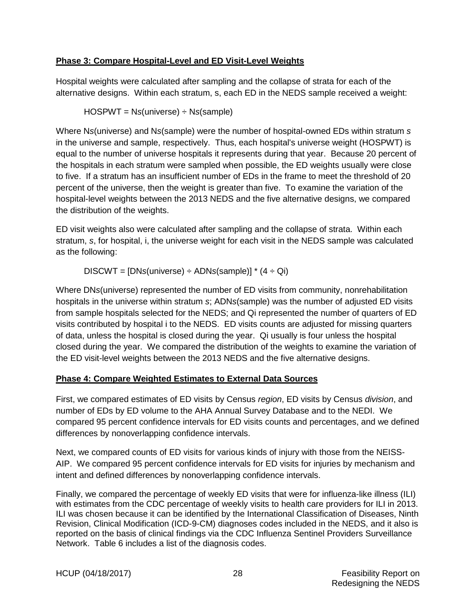## <span id="page-39-0"></span>**Phase 3: Compare Hospital-Level and ED Visit-Level Weights**

Hospital weights were calculated after sampling and the collapse of strata for each of the alternative designs. Within each stratum, s, each ED in the NEDS sample received a weight:

HOSPWT = N*s*(universe) ÷ N*s*(sample)

Where N*s*(universe) and N*s*(sample) were the number of hospital-owned EDs within stratum *s* in the universe and sample, respectively. Thus, each hospital's universe weight (HOSPWT) is equal to the number of universe hospitals it represents during that year. Because 20 percent of the hospitals in each stratum were sampled when possible, the ED weights usually were close to five. If a stratum has an insufficient number of EDs in the frame to meet the threshold of 20 percent of the universe, then the weight is greater than five. To examine the variation of the hospital-level weights between the 2013 NEDS and the five alternative designs, we compared the distribution of the weights.

ED visit weights also were calculated after sampling and the collapse of strata. Within each stratum, *s*, for hospital, i, the universe weight for each visit in the NEDS sample was calculated as the following:

DISCWT = [DN*s*(universe) ÷ ADN*s*(sample)] \* (4 ÷ Qi)

Where DN*s*(universe) represented the number of ED visits from community, nonrehabilitation hospitals in the universe within stratum *s*; ADN*s*(sample) was the number of adjusted ED visits from sample hospitals selected for the NEDS; and Qi represented the number of quarters of ED visits contributed by hospital i to the NEDS. ED visits counts are adjusted for missing quarters of data, unless the hospital is closed during the year. Qi usually is four unless the hospital closed during the year. We compared the distribution of the weights to examine the variation of the ED visit-level weights between the 2013 NEDS and the five alternative designs.

#### <span id="page-39-1"></span>**Phase 4: Compare Weighted Estimates to External Data Sources**

First, we compared estimates of ED visits by Census *region*, ED visits by Census *division*, and number of EDs by ED volume to the AHA Annual Survey Database and to the NEDI. We compared 95 percent confidence intervals for ED visits counts and percentages, and we defined differences by nonoverlapping confidence intervals.

Next, we compared counts of ED visits for various kinds of injury with those from the NEISS-AIP. We compared 95 percent confidence intervals for ED visits for injuries by mechanism and intent and defined differences by nonoverlapping confidence intervals.

Finally, we compared the percentage of weekly ED visits that were for influenza-like illness (ILI) with estimates from the CDC percentage of weekly visits to health care providers for ILI in 2013. ILI was chosen because it can be identified by the International Classification of Diseases, Ninth Revision, Clinical Modification (ICD-9-CM) diagnoses codes included in the NEDS, and it also is reported on the basis of clinical findings via the CDC Influenza Sentinel Providers Surveillance Network. Table 6 includes a list of the diagnosis codes.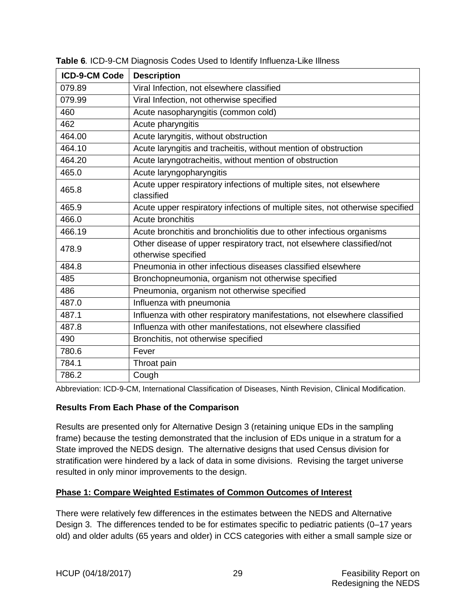| <b>ICD-9-CM Code</b> | <b>Description</b>                                                                            |
|----------------------|-----------------------------------------------------------------------------------------------|
| 079.89               | Viral Infection, not elsewhere classified                                                     |
| 079.99               | Viral Infection, not otherwise specified                                                      |
| 460                  | Acute nasopharyngitis (common cold)                                                           |
| 462                  | Acute pharyngitis                                                                             |
| 464.00               | Acute laryngitis, without obstruction                                                         |
| 464.10               | Acute laryngitis and tracheitis, without mention of obstruction                               |
| 464.20               | Acute laryngotracheitis, without mention of obstruction                                       |
| 465.0                | Acute laryngopharyngitis                                                                      |
| 465.8                | Acute upper respiratory infections of multiple sites, not elsewhere<br>classified             |
| 465.9                | Acute upper respiratory infections of multiple sites, not otherwise specified                 |
| 466.0                | Acute bronchitis                                                                              |
| 466.19               | Acute bronchitis and bronchiolitis due to other infectious organisms                          |
| 478.9                | Other disease of upper respiratory tract, not elsewhere classified/not<br>otherwise specified |
| 484.8                | Pneumonia in other infectious diseases classified elsewhere                                   |
| 485                  | Bronchopneumonia, organism not otherwise specified                                            |
| 486                  | Pneumonia, organism not otherwise specified                                                   |
| 487.0                | Influenza with pneumonia                                                                      |
| 487.1                | Influenza with other respiratory manifestations, not elsewhere classified                     |
| 487.8                | Influenza with other manifestations, not elsewhere classified                                 |
| 490                  | Bronchitis, not otherwise specified                                                           |
| 780.6                | Fever                                                                                         |
| 784.1                | Throat pain                                                                                   |
| 786.2                | Cough                                                                                         |

<span id="page-40-2"></span>**Table 6***.* ICD-9-CM Diagnosis Codes Used to Identify Influenza-Like Illness

Abbreviation: ICD-9-CM, International Classification of Diseases, Ninth Revision, Clinical Modification.

#### <span id="page-40-0"></span>**Results From Each Phase of the Comparison**

Results are presented only for Alternative Design 3 (retaining unique EDs in the sampling frame) because the testing demonstrated that the inclusion of EDs unique in a stratum for a State improved the NEDS design. The alternative designs that used Census division for stratification were hindered by a lack of data in some divisions. Revising the target universe resulted in only minor improvements to the design.

#### <span id="page-40-1"></span>**Phase 1: Compare Weighted Estimates of Common Outcomes of Interest**

There were relatively few differences in the estimates between the NEDS and Alternative Design 3. The differences tended to be for estimates specific to pediatric patients (0–17 years old) and older adults (65 years and older) in CCS categories with either a small sample size or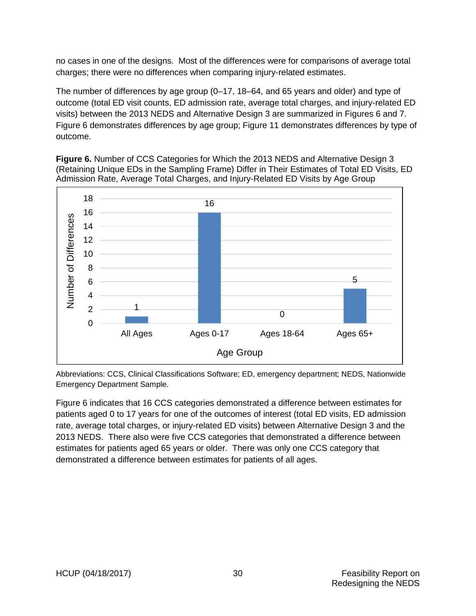no cases in one of the designs. Most of the differences were for comparisons of average total charges; there were no differences when comparing injury-related estimates.

The number of differences by age group (0–17, 18–64, and 65 years and older) and type of outcome (total ED visit counts, ED admission rate, average total charges, and injury-related ED visits) between the 2013 NEDS and Alternative Design 3 are summarized in Figures 6 and 7. Figure 6 demonstrates differences by age group; Figure 11 demonstrates differences by type of outcome.

<span id="page-41-0"></span>**Figure 6.** Number of CCS Categories for Which the 2013 NEDS and Alternative Design 3 (Retaining Unique EDs in the Sampling Frame) Differ in Their Estimates of Total ED Visits, ED  Admission Rate, Average Total Charges, and Injury-Related ED Visits by Age Group



Abbreviations: CCS, Clinical Classifications Software; ED, emergency department; NEDS, Nationwide Emergency Department Sample.

Figure 6 indicates that 16 CCS categories demonstrated a difference between estimates for patients aged 0 to 17 years for one of the outcomes of interest (total ED visits, ED admission rate, average total charges, or injury-related ED visits) between Alternative Design 3 and the 2013 NEDS. There also were five CCS categories that demonstrated a difference between estimates for patients aged 65 years or older. There was only one CCS category that demonstrated a difference between estimates for patients of all ages.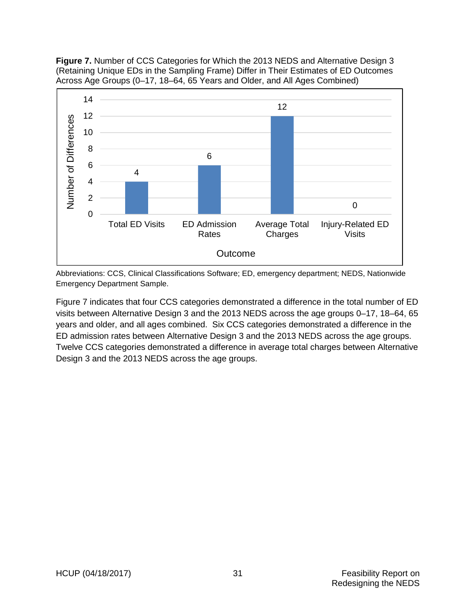<span id="page-42-0"></span>**Figure 7.** Number of CCS Categories for Which the 2013 NEDS and Alternative Design 3 (Retaining Unique EDs in the Sampling Frame) Differ in Their Estimates of ED Outcomes  Across Age Groups (0–17, 18–64, 65 Years and Older, and All Ages Combined)



Abbreviations: CCS, Clinical Classifications Software; ED, emergency department; NEDS, Nationwide Emergency Department Sample.

Figure 7 indicates that four CCS categories demonstrated a difference in the total number of ED visits between Alternative Design 3 and the 2013 NEDS across the age groups 0–17, 18–64, 65 years and older, and all ages combined. Six CCS categories demonstrated a difference in the ED admission rates between Alternative Design 3 and the 2013 NEDS across the age groups. Twelve CCS categories demonstrated a difference in average total charges between Alternative Design 3 and the 2013 NEDS across the age groups.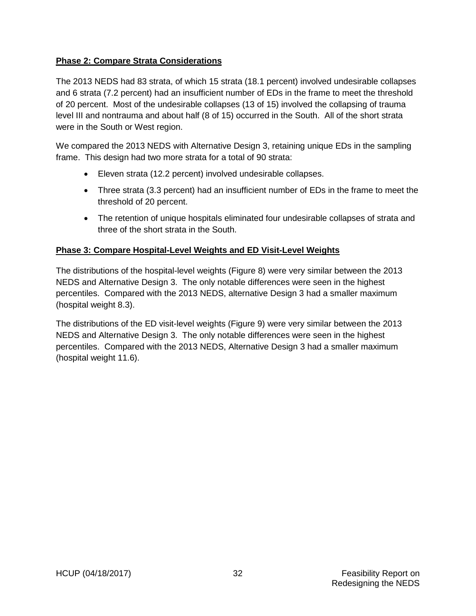#### <span id="page-43-0"></span>**Phase 2: Compare Strata Considerations**

The 2013 NEDS had 83 strata, of which 15 strata (18.1 percent) involved undesirable collapses and 6 strata (7.2 percent) had an insufficient number of EDs in the frame to meet the threshold of 20 percent. Most of the undesirable collapses (13 of 15) involved the collapsing of trauma level III and nontrauma and about half (8 of 15) occurred in the South. All of the short strata were in the South or West region.

We compared the 2013 NEDS with Alternative Design 3, retaining unique EDs in the sampling frame. This design had two more strata for a total of 90 strata:

- Eleven strata (12.2 percent) involved undesirable collapses.
- Three strata (3.3 percent) had an insufficient number of EDs in the frame to meet the threshold of 20 percent.
- The retention of unique hospitals eliminated four undesirable collapses of strata and three of the short strata in the South.

#### <span id="page-43-1"></span>**Phase 3: Compare Hospital-Level Weights and ED Visit-Level Weights**

The distributions of the hospital-level weights (Figure 8) were very similar between the 2013 NEDS and Alternative Design 3. The only notable differences were seen in the highest percentiles. Compared with the 2013 NEDS, alternative Design 3 had a smaller maximum (hospital weight 8.3).

The distributions of the ED visit-level weights (Figure 9) were very similar between the 2013 NEDS and Alternative Design 3. The only notable differences were seen in the highest percentiles. Compared with the 2013 NEDS, Alternative Design 3 had a smaller maximum (hospital weight 11.6).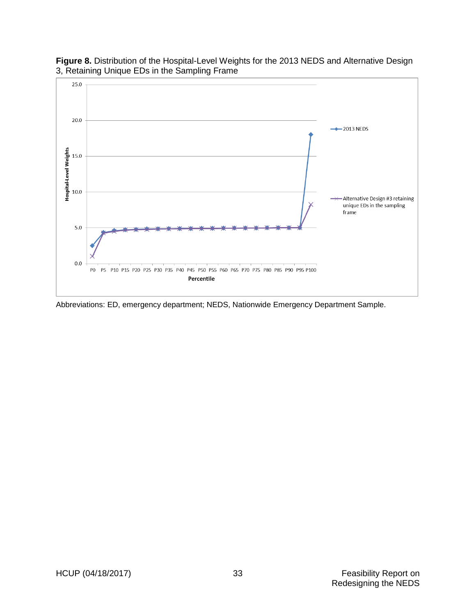

#### <span id="page-44-0"></span>**Figure 8.** Distribution of the Hospital-Level Weights for the 2013 NEDS and Alternative Design 3, Retaining Unique EDs in the Sampling Frame

Abbreviations: ED, emergency department; NEDS, Nationwide Emergency Department Sample.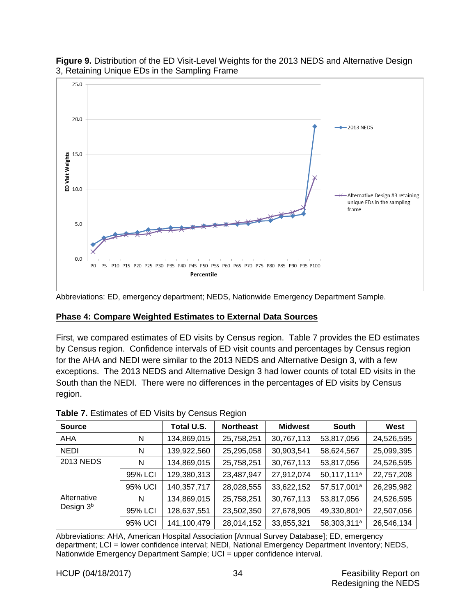

#### <span id="page-45-2"></span>**Figure 9.** Distribution of the ED Visit-Level Weights for the 2013 NEDS and Alternative Design 3, Retaining Unique EDs in the Sampling Frame

Abbreviations: ED, emergency department; NEDS, Nationwide Emergency Department Sample.

#### <span id="page-45-0"></span>**Phase 4: Compare Weighted Estimates to External Data Sources**

First, we compared estimates of ED visits by Census region. Table 7 provides the ED estimates by Census region. Confidence intervals of ED visit counts and percentages by Census region for the AHA and NEDI were similar to the 2013 NEDS and Alternative Design 3, with a few exceptions. The 2013 NEDS and Alternative Design 3 had lower counts of total ED visits in the South than the NEDI. There were no differences in the percentages of ED visits by Census region.

| <b>Source</b>                        |         | Total U.S.  | <b>Northeast</b> | <b>Midwest</b> | <b>South</b>            | West       |
|--------------------------------------|---------|-------------|------------------|----------------|-------------------------|------------|
| AHA                                  | N       | 134,869,015 | 25,758,251       | 30,767,113     | 53,817,056              | 24,526,595 |
| <b>NEDI</b>                          | N       | 139,922,560 | 25,295,058       | 30,903,541     | 58,624,567              | 25,099,395 |
| 2013 NEDS                            | N       | 134,869,015 | 25,758,251       | 30,767,113     | 53,817,056              | 24,526,595 |
|                                      | 95% LCI | 129,380,313 | 23,487,947       | 27,912,074     | 50,117,111 <sup>a</sup> | 22,757,208 |
|                                      | 95% UCI | 140,357,717 | 28,028,555       | 33,622,152     | 57,517,001 <sup>a</sup> | 26,295,982 |
| Alternative<br>Design 3 <sup>b</sup> | N       | 134,869,015 | 25,758,251       | 30,767,113     | 53,817,056              | 24,526,595 |
|                                      | 95% LCI | 128,637,551 | 23,502,350       | 27,678,905     | 49,330,801 <sup>a</sup> | 22,507,056 |
|                                      | 95% UCI | 141,100,479 | 28,014,152       | 33,855,321     | 58,303,311 <sup>a</sup> | 26,546,134 |

#### <span id="page-45-1"></span>**Table 7.** Estimates of ED Visits by Census Region

Abbreviations: AHA, American Hospital Association [Annual Survey Database]; ED, emergency department; LCI = lower confidence interval; NEDI, National Emergency Department Inventory; NEDS, Nationwide Emergency Department Sample; UCI = upper confidence interval.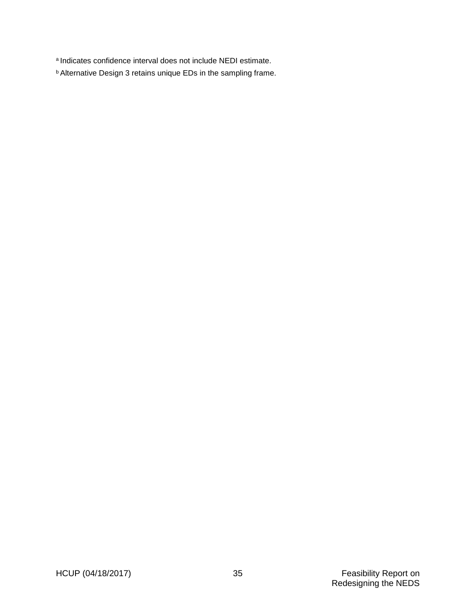a Indicates confidence interval does not include NEDI estimate.

b Alternative Design 3 retains unique EDs in the sampling frame.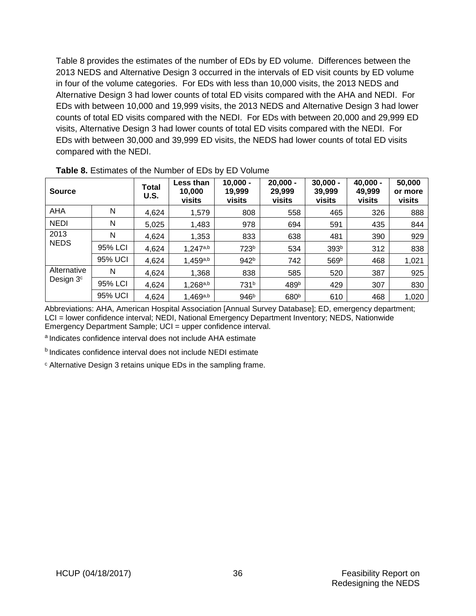Table 8 provides the estimates of the number of EDs by ED volume. Differences between the 2013 NEDS and Alternative Design 3 occurred in the intervals of ED visit counts by ED volume in four of the volume categories. For EDs with less than 10,000 visits, the 2013 NEDS and Alternative Design 3 had lower counts of total ED visits compared with the AHA and NEDI. For EDs with between 10,000 and 19,999 visits, the 2013 NEDS and Alternative Design 3 had lower counts of total ED visits compared with the NEDI. For EDs with between 20,000 and 29,999 ED visits, Alternative Design 3 had lower counts of total ED visits compared with the NEDI. For EDs with between 30,000 and 39,999 ED visits, the NEDS had lower counts of total ED visits compared with the NEDI.

| <b>Source</b>                        |         | Total<br>U.S. | <b>Less than</b><br>10,000<br>visits | $10,000 -$<br>19,999<br>visits | $20,000 -$<br>29,999<br>visits | $30,000 -$<br>39,999<br>visits | $40,000 -$<br>49,999<br>visits | 50,000<br>or more<br>visits |
|--------------------------------------|---------|---------------|--------------------------------------|--------------------------------|--------------------------------|--------------------------------|--------------------------------|-----------------------------|
| AHA                                  | N       | 4,624         | 1,579                                | 808                            | 558                            | 465                            | 326                            | 888                         |
| <b>NEDI</b>                          | N       | 5,025         | 1,483                                | 978                            | 694                            | 591                            | 435                            | 844                         |
| 2013<br><b>NEDS</b>                  | N       | 4,624         | 1,353                                | 833                            | 638                            | 481                            | 390                            | 929                         |
|                                      | 95% LCI | 4,624         | 1,247a,b                             | 723 <sup>b</sup>               | 534                            | 393 <sup>b</sup>               | 312                            | 838                         |
|                                      | 95% UCI | 4,624         | 1,459a,b                             | 942 <sup>b</sup>               | 742                            | 569b                           | 468                            | 1,021                       |
| Alternative<br>Design 3 <sup>c</sup> | N       | 4,624         | 1,368                                | 838                            | 585                            | 520                            | 387                            | 925                         |
|                                      | 95% LCI | 4,624         | 1,268a,b                             | 731 <sup>b</sup>               | 489b                           | 429                            | 307                            | 830                         |
|                                      | 95% UCI | 4,624         | 1,469a,b                             | 946 <sup>b</sup>               | 680 <sup>b</sup>               | 610                            | 468                            | 1,020                       |

<span id="page-47-0"></span>**Table 8.** Estimates of the Number of EDs by ED Volume

Abbreviations: AHA, American Hospital Association [Annual Survey Database]; ED, emergency department; LCI = lower confidence interval; NEDI, National Emergency Department Inventory; NEDS, Nationwide Emergency Department Sample; UCI = upper confidence interval.

a Indicates confidence interval does not include AHA estimate

**b** Indicates confidence interval does not include NEDI estimate

<sup>c</sup> Alternative Design 3 retains unique EDs in the sampling frame.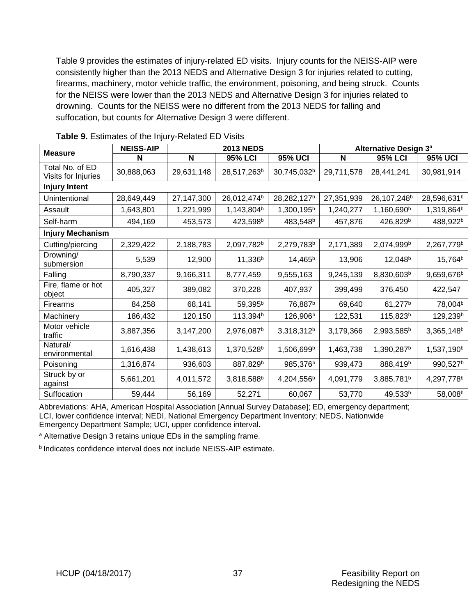Table 9 provides the estimates of injury-related ED visits. Injury counts for the NEISS-AIP were consistently higher than the 2013 NEDS and Alternative Design 3 for injuries related to cutting, firearms, machinery, motor vehicle traffic, the environment, poisoning, and being struck. Counts for the NEISS were lower than the 2013 NEDS and Alternative Design 3 for injuries related to drowning. Counts for the NEISS were no different from the 2013 NEDS for falling and suffocation, but counts for Alternative Design 3 were different.

| <b>Measure</b>                         | <b>NEISS-AIP</b> | <b>2013 NEDS</b> |                         |                         | <b>Alternative Design 3<sup>ª</sup></b> |                         |                         |  |  |  |
|----------------------------------------|------------------|------------------|-------------------------|-------------------------|-----------------------------------------|-------------------------|-------------------------|--|--|--|
|                                        | N                | N                | <b>95% LCI</b>          | <b>95% UCI</b>          | N                                       | <b>95% LCI</b>          | <b>95% UCI</b>          |  |  |  |
| Total No. of ED<br>Visits for Injuries | 30,888,063       | 29,631,148       | 28,517,263 <sup>b</sup> | 30,745,032 <sup>b</sup> | 29,711,578                              | 28,441,241              | 30,981,914              |  |  |  |
| <b>Injury Intent</b>                   |                  |                  |                         |                         |                                         |                         |                         |  |  |  |
| Unintentional                          | 28,649,449       | 27,147,300       | 26,012,474 <sup>b</sup> | 28,282,127 <sup>b</sup> | 27,351,939                              | 26,107,248 <sup>b</sup> | 28,596,631 <sup>b</sup> |  |  |  |
| Assault                                | 1,643,801        | 1,221,999        | 1,143,804 <sup>b</sup>  | 1,300,195 <sup>b</sup>  | 1,240,277                               | 1,160,690 <sup>b</sup>  | 1,319,864 <sup>b</sup>  |  |  |  |
| Self-harm                              | 494,169          | 453,573          | 423,598 <sup>b</sup>    | 483,548 <sup>b</sup>    | 457,876                                 | 426,829 <sup>b</sup>    | 488,922 <sup>b</sup>    |  |  |  |
| <b>Injury Mechanism</b>                |                  |                  |                         |                         |                                         |                         |                         |  |  |  |
| Cutting/piercing                       | 2,329,422        | 2,188,783        | 2,097,782 <sup>b</sup>  | 2,279,783 <sup>b</sup>  | 2,171,389                               | 2,074,999b              | 2,267,779b              |  |  |  |
| Drowning/<br>submersion                | 5,539            | 12,900           | 11,336 <sup>b</sup>     | 14,465 <sup>b</sup>     | 13,906                                  | 12,048 <sup>b</sup>     | 15,764 <sup>b</sup>     |  |  |  |
| Falling                                | 8,790,337        | 9,166,311        | 8,777,459               | 9,555,163               | 9,245,139                               | 8,830,603b              | 9,659,676 <sup>b</sup>  |  |  |  |
| Fire, flame or hot<br>object           | 405,327          | 389,082          | 370,228                 | 407,937                 | 399,499                                 | 376,450                 | 422,547                 |  |  |  |
| Firearms                               | 84,258           | 68,141           | 59,395 <sup>b</sup>     | 76,887 <sup>b</sup>     | 69,640                                  | 61,277 <sup>b</sup>     | 78,004 <sup>b</sup>     |  |  |  |
| Machinery                              | 186,432          | 120,150          | 113,394 <sup>b</sup>    | 126,906 <sup>b</sup>    | 122,531                                 | 115,823 <sup>b</sup>    | 129,239 <sup>b</sup>    |  |  |  |
| Motor vehicle<br>traffic               | 3,887,356        | 3,147,200        | 2,976,087 <sup>b</sup>  | 3,318,312 <sup>b</sup>  | 3,179,366                               | 2,993,585 <sup>b</sup>  | 3,365,148 <sup>b</sup>  |  |  |  |
| Natural/<br>environmental              | 1,616,438        | 1,438,613        | 1,370,528 <sup>b</sup>  | 1,506,699b              | 1,463,738                               | 1,390,287 <sup>b</sup>  | 1,537,190 <sup>b</sup>  |  |  |  |
| Poisoning                              | 1,316,874        | 936,603          | 887,829 <sup>b</sup>    | 985,376 <sup>b</sup>    | 939,473                                 | 888,419b                | 990,527 <sup>b</sup>    |  |  |  |
| Struck by or<br>against                | 5,661,201        | 4,011,572        | 3,818,588b              | 4,204,556 <sup>b</sup>  | 4,091,779                               | 3,885,781 <sup>b</sup>  | 4,297,778 <sup>b</sup>  |  |  |  |
| Suffocation                            | 59,444           | 56,169           | 52,271                  | 60,067                  | 53,770                                  | 49,533b                 | 58,008 <sup>b</sup>     |  |  |  |

<span id="page-48-0"></span>**Table 9.** Estimates of the Injury-Related ED Visits

Abbreviations: AHA, American Hospital Association [Annual Survey Database]; ED, emergency department; LCI, lower confidence interval; NEDI, National Emergency Department Inventory; NEDS, Nationwide Emergency Department Sample; UCI, upper confidence interval.

a Alternative Design 3 retains unique EDs in the sampling frame.

b Indicates confidence interval does not include NEISS-AIP estimate.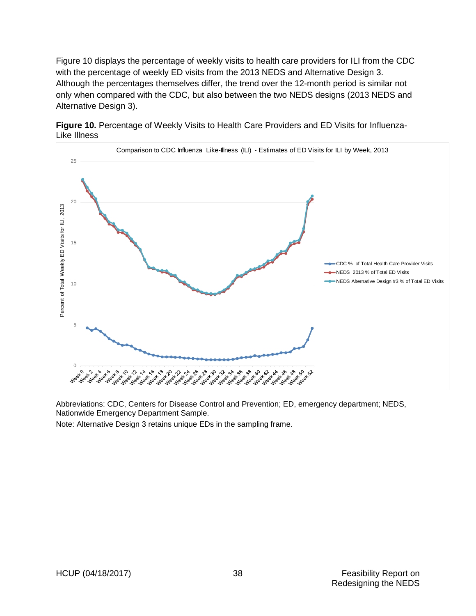Figure 10 displays the percentage of weekly visits to health care providers for ILI from the CDC with the percentage of weekly ED visits from the 2013 NEDS and Alternative Design 3. Although the percentages themselves differ, the trend over the 12-month period is similar not only when compared with the CDC, but also between the two NEDS designs (2013 NEDS and Alternative Design 3).



<span id="page-49-0"></span>**Figure 10.** Percentage of Weekly Visits to Health Care Providers and ED Visits for Influenza-Like Illness

Abbreviations: CDC, Centers for Disease Control and Prevention; ED, emergency department; NEDS, Nationwide Emergency Department Sample.

Note: Alternative Design 3 retains unique EDs in the sampling frame.